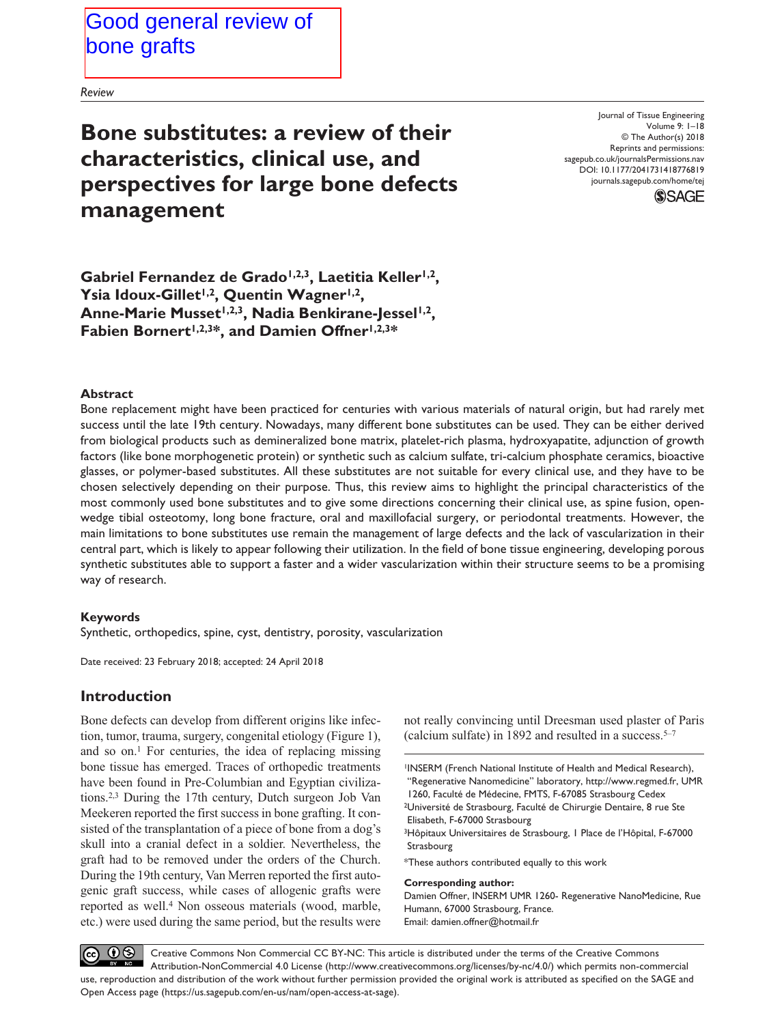*Review*

**Bone substitutes: a review of their characteristics, clinical use, and perspectives for large bone defects management**

DOI: 10.1177/2041731418776819 Journal of Tissue Engineering Volume 9: 1–18 © The Author(s) 2018 Reprints and permissions: [sagepub.co.uk/journalsPermissions.nav](https://uk.sagepub.com/en-gb/journals-permissions) [journals.sagepub.com/home/tej](https://journals.sagepub.com/home/tej)



Gabriel Fernandez de Grado<sup>1,2,3</sup>, Laetitia Keller<sup>1,2</sup>, Ysia Idoux-Gillet<sup>1,2</sup>, Quentin Wagner<sup>1,2</sup>, Anne-Marie Musset<sup>1,2,3</sup>, Nadia Benkirane-Jessel<sup>1,2</sup>, Fabien Bornert<sup>1,2,3\*</sup>, and Damien Offner<sup>1,2,3\*</sup>

#### **Abstract**

Bone replacement might have been practiced for centuries with various materials of natural origin, but had rarely met success until the late 19th century. Nowadays, many different bone substitutes can be used. They can be either derived from biological products such as demineralized bone matrix, platelet-rich plasma, hydroxyapatite, adjunction of growth factors (like bone morphogenetic protein) or synthetic such as calcium sulfate, tri-calcium phosphate ceramics, bioactive glasses, or polymer-based substitutes. All these substitutes are not suitable for every clinical use, and they have to be chosen selectively depending on their purpose. Thus, this review aims to highlight the principal characteristics of the most commonly used bone substitutes and to give some directions concerning their clinical use, as spine fusion, openwedge tibial osteotomy, long bone fracture, oral and maxillofacial surgery, or periodontal treatments. However, the main limitations to bone substitutes use remain the management of large defects and the lack of vascularization in their central part, which is likely to appear following their utilization. In the field of bone tissue engineering, developing porous synthetic substitutes able to support a faster and a wider vascularization within their structure seems to be a promising way of research.

### **Keywords**

Synthetic, orthopedics, spine, cyst, dentistry, porosity, vascularization

Date received: 23 February 2018; accepted: 24 April 2018

## **Introduction**

Bone defects can develop from different origins like infection, tumor, trauma, surgery, congenital etiology (Figure 1), and so on.<sup>1</sup> For centuries, the idea of replacing missing bone tissue has emerged. Traces of orthopedic treatments have been found in Pre-Columbian and Egyptian civilizations.2,3 During the 17th century, Dutch surgeon Job Van Meekeren reported the first success in bone grafting. It consisted of the transplantation of a piece of bone from a dog's skull into a cranial defect in a soldier. Nevertheless, the graft had to be removed under the orders of the Church. During the 19th century, Van Merren reported the first autogenic graft success, while cases of allogenic grafts were reported as well.4 Non osseous materials (wood, marble, etc.) were used during the same period, but the results were not really convincing until Dreesman used plaster of Paris (calcium sulfate) in 1892 and resulted in a success. $5-7$ 

1INSERM (French National Institute of Health and Medical Research), "Regenerative Nanomedicine" laboratory, http://www.regmed.fr, UMR 1260, Faculté de Médecine, FMTS, F-67085 Strasbourg Cedex 2Université de Strasbourg, Faculté de Chirurgie Dentaire, 8 rue Ste

Elisabeth, F-67000 Strasbourg

3Hôpitaux Universitaires de Strasbourg, 1 Place de l'Hôpital, F-67000 Strasbourg

\*These authors contributed equally to this work

#### **Corresponding author:**

Damien Offner, INSERM UMR 1260- Regenerative NanoMedicine, Rue Humann, 67000 Strasbourg, France. Email: [damien.offner@hotmail.fr](mailto:damien.offner@hotmail.fr)

 $\circledcirc$ Creative Commons Non Commercial CC BY-NC: This article is distributed under the terms of the Creative Commons Attribution-NonCommercial 4.0 License (http://www.creativecommons.org/licenses/by-nc/4.0/) which permits non-commercial use, reproduction and distribution of the work without further permission provided the original work is attributed as specified on the SAGE and Open Access page (https://us.sagepub.com/en-us/nam/open-access-at-sage).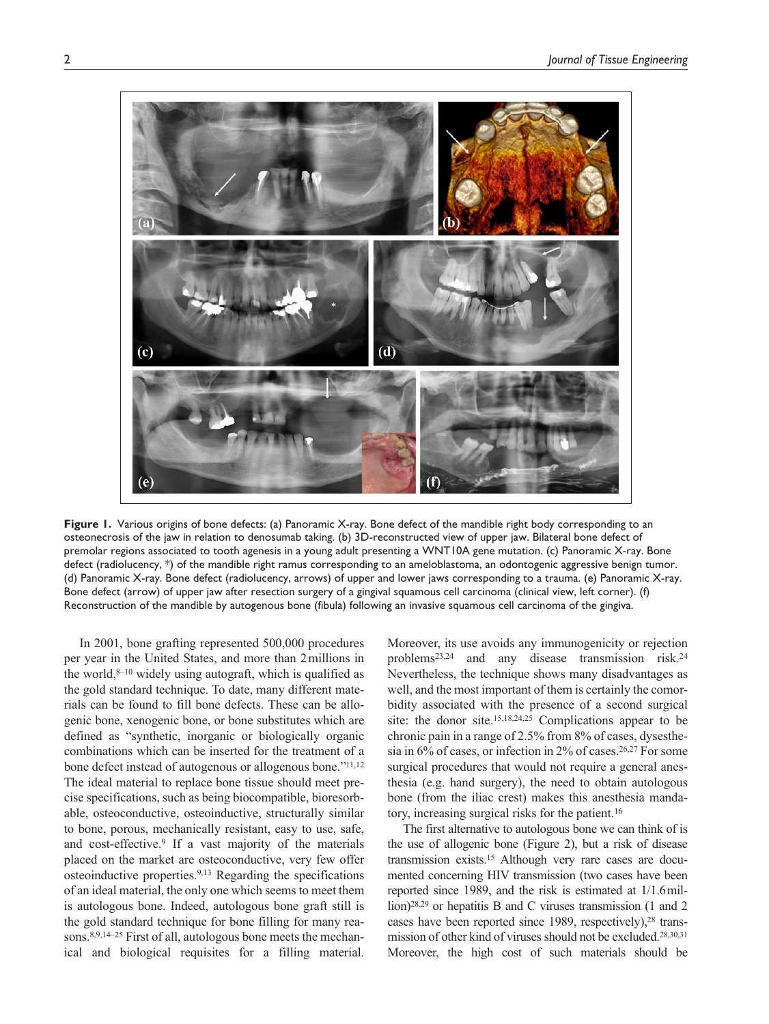

**Figure 1.** Various origins of bone defects: (a) Panoramic X-ray. Bone defect of the mandible right body corresponding to an osteonecrosis of the jaw in relation to denosumab taking. (b) 3D-reconstructed view of upper jaw. Bilateral bone defect of premolar regions associated to tooth agenesis in a young adult presenting a WNT10A gene mutation. (c) Panoramic X-ray. Bone defect (radiolucency, \*) of the mandible right ramus corresponding to an ameloblastoma, an odontogenic aggressive benign tumor. (d) Panoramic X-ray. Bone defect (radiolucency, arrows) of upper and lower jaws corresponding to a trauma. (e) Panoramic X-ray. Bone defect (arrow) of upper jaw after resection surgery of a gingival squamous cell carcinoma (clinical view, left corner). (f) Reconstruction of the mandible by autogenous bone (fibula) following an invasive squamous cell carcinoma of the gingiva.

In 2001, bone grafting represented 500,000 procedures per year in the United States, and more than 2millions in the world, $8-10$  widely using autograft, which is qualified as the gold standard technique. To date, many different materials can be found to fill bone defects. These can be allogenic bone, xenogenic bone, or bone substitutes which are defined as "synthetic, inorganic or biologically organic combinations which can be inserted for the treatment of a bone defect instead of autogenous or allogenous bone."11,12 The ideal material to replace bone tissue should meet precise specifications, such as being biocompatible, bioresorbable, osteoconductive, osteoinductive, structurally similar to bone, porous, mechanically resistant, easy to use, safe, and cost-effective.9 If a vast majority of the materials placed on the market are osteoconductive, very few offer osteoinductive properties.9,13 Regarding the specifications of an ideal material, the only one which seems to meet them is autologous bone. Indeed, autologous bone graft still is the gold standard technique for bone filling for many reasons.8,9,14–25 First of all, autologous bone meets the mechanical and biological requisites for a filling material.

Moreover, its use avoids any immunogenicity or rejection problems23,24 and any disease transmission risk.24 Nevertheless, the technique shows many disadvantages as well, and the most important of them is certainly the comorbidity associated with the presence of a second surgical site: the donor site.15,18,24,25 Complications appear to be chronic pain in a range of 2.5% from 8% of cases, dysesthesia in  $6\%$  of cases, or infection in  $2\%$  of cases.<sup>26,27</sup> For some surgical procedures that would not require a general anesthesia (e.g. hand surgery), the need to obtain autologous bone (from the iliac crest) makes this anesthesia mandatory, increasing surgical risks for the patient.16

The first alternative to autologous bone we can think of is the use of allogenic bone (Figure 2), but a risk of disease transmission exists.15 Although very rare cases are documented concerning HIV transmission (two cases have been reported since 1989, and the risk is estimated at 1/1.6million)<sup>28,29</sup> or hepatitis B and C viruses transmission (1 and 2 cases have been reported since 1989, respectively),<sup>28</sup> transmission of other kind of viruses should not be excluded.28,30,31 Moreover, the high cost of such materials should be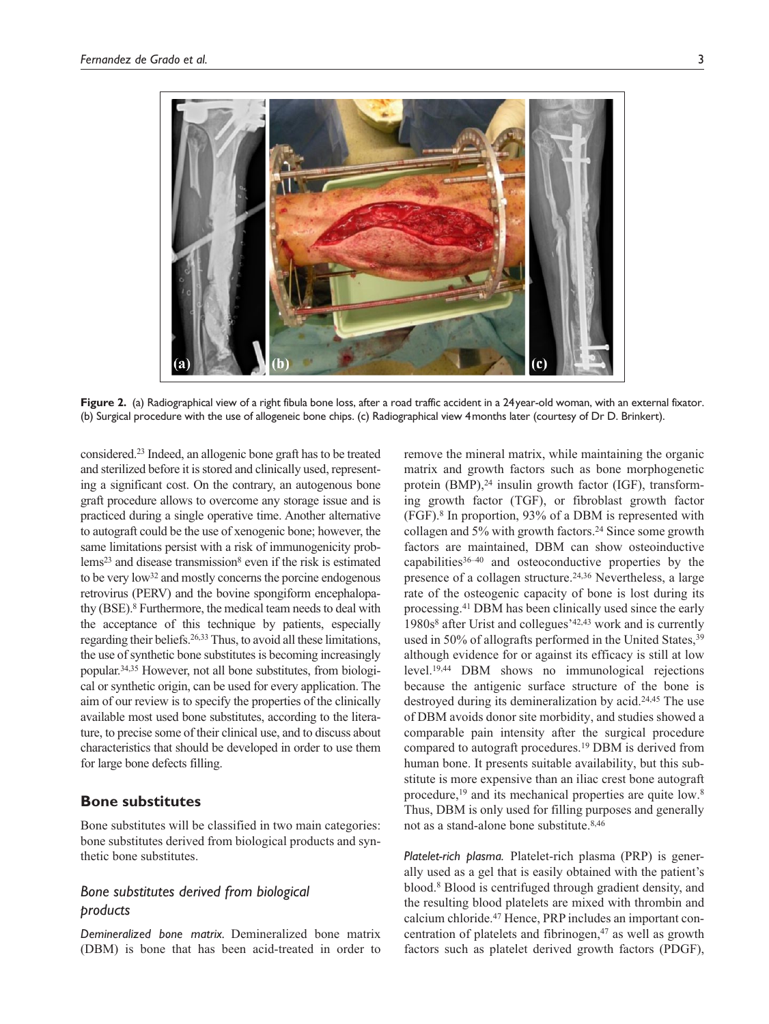

**Figure 2.** (a) Radiographical view of a right fibula bone loss, after a road traffic accident in a 24year-old woman, with an external fixator. (b) Surgical procedure with the use of allogeneic bone chips. (c) Radiographical view 4months later (courtesy of Dr D. Brinkert).

considered.23 Indeed, an allogenic bone graft has to be treated and sterilized before it is stored and clinically used, representing a significant cost. On the contrary, an autogenous bone graft procedure allows to overcome any storage issue and is practiced during a single operative time. Another alternative to autograft could be the use of xenogenic bone; however, the same limitations persist with a risk of immunogenicity problems<sup>23</sup> and disease transmission<sup>8</sup> even if the risk is estimated to be very low32 and mostly concerns the porcine endogenous retrovirus (PERV) and the bovine spongiform encephalopathy (BSE).8 Furthermore, the medical team needs to deal with the acceptance of this technique by patients, especially regarding their beliefs.26,33 Thus, to avoid all these limitations, the use of synthetic bone substitutes is becoming increasingly popular.34,35 However, not all bone substitutes, from biological or synthetic origin, can be used for every application. The aim of our review is to specify the properties of the clinically available most used bone substitutes, according to the literature, to precise some of their clinical use, and to discuss about characteristics that should be developed in order to use them for large bone defects filling.

## **Bone substitutes**

Bone substitutes will be classified in two main categories: bone substitutes derived from biological products and synthetic bone substitutes.

# *Bone substitutes derived from biological products*

*Demineralized bone matrix.* Demineralized bone matrix (DBM) is bone that has been acid-treated in order to

remove the mineral matrix, while maintaining the organic matrix and growth factors such as bone morphogenetic protein (BMP),<sup>24</sup> insulin growth factor (IGF), transforming growth factor (TGF), or fibroblast growth factor (FGF).8 In proportion, 93% of a DBM is represented with collagen and 5% with growth factors.24 Since some growth factors are maintained, DBM can show osteoinductive capabilities $36-40$  and osteoconductive properties by the presence of a collagen structure.24,36 Nevertheless, a large rate of the osteogenic capacity of bone is lost during its processing.41 DBM has been clinically used since the early 1980s8 after Urist and collegues'42,43 work and is currently used in 50% of allografts performed in the United States,<sup>39</sup> although evidence for or against its efficacy is still at low level.19,44 DBM shows no immunological rejections because the antigenic surface structure of the bone is destroyed during its demineralization by acid.24,45 The use of DBM avoids donor site morbidity, and studies showed a comparable pain intensity after the surgical procedure compared to autograft procedures.19 DBM is derived from human bone. It presents suitable availability, but this substitute is more expensive than an iliac crest bone autograft procedure,19 and its mechanical properties are quite low.8 Thus, DBM is only used for filling purposes and generally not as a stand-alone bone substitute.8,46

*Platelet-rich plasma.* Platelet-rich plasma (PRP) is generally used as a gel that is easily obtained with the patient's blood.8 Blood is centrifuged through gradient density, and the resulting blood platelets are mixed with thrombin and calcium chloride.47 Hence, PRP includes an important concentration of platelets and fibrinogen, $47$  as well as growth factors such as platelet derived growth factors (PDGF),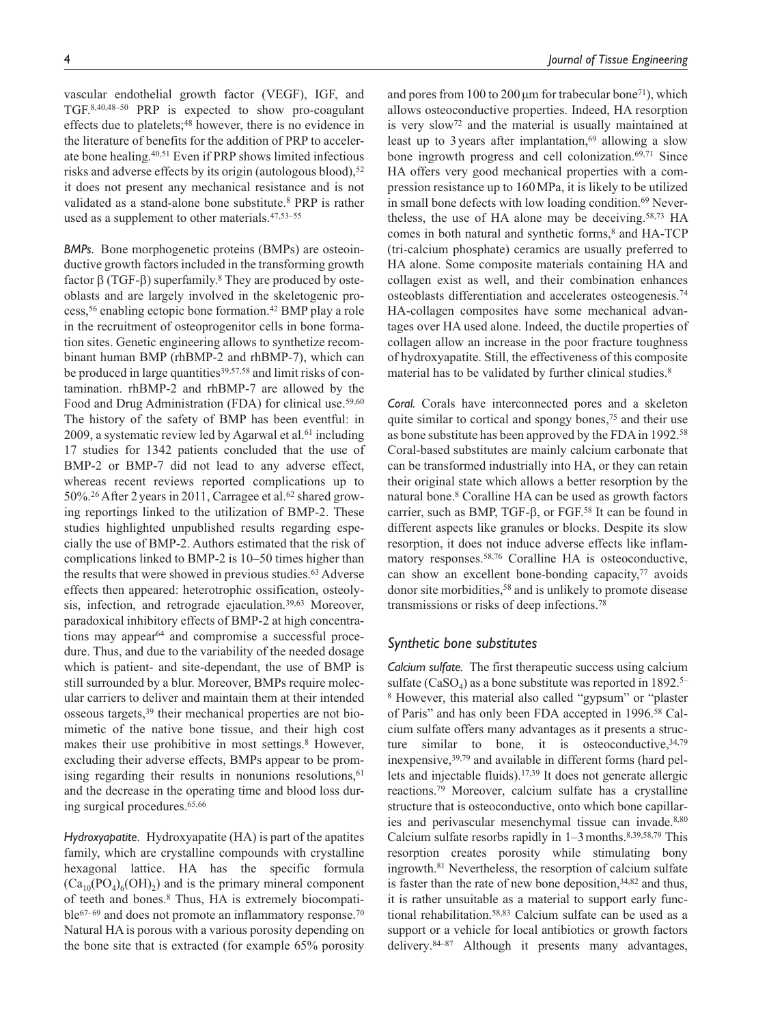vascular endothelial growth factor (VEGF), IGF, and TGF.8,40,48–50 PRP is expected to show pro-coagulant effects due to platelets;<sup>48</sup> however, there is no evidence in the literature of benefits for the addition of PRP to accelerate bone healing.40,51 Even if PRP shows limited infectious risks and adverse effects by its origin (autologous blood),<sup>52</sup> it does not present any mechanical resistance and is not

validated as a stand-alone bone substitute.8 PRP is rather

used as a supplement to other materials.47,53–55

*BMPs.* Bone morphogenetic proteins (BMPs) are osteoinductive growth factors included in the transforming growth factor  $β$  (TGF- $β$ ) superfamily.<sup>8</sup> They are produced by osteoblasts and are largely involved in the skeletogenic process,56 enabling ectopic bone formation.42 BMP play a role in the recruitment of osteoprogenitor cells in bone formation sites. Genetic engineering allows to synthetize recombinant human BMP (rhBMP-2 and rhBMP-7), which can be produced in large quantities<sup>39,57,58</sup> and limit risks of contamination. rhBMP-2 and rhBMP-7 are allowed by the Food and Drug Administration (FDA) for clinical use.<sup>59,60</sup> The history of the safety of BMP has been eventful: in 2009, a systematic review led by Agarwal et al. $61$  including 17 studies for 1342 patients concluded that the use of BMP-2 or BMP-7 did not lead to any adverse effect, whereas recent reviews reported complications up to 50%.<sup>26</sup> After 2 years in 2011, Carragee et al.<sup>62</sup> shared growing reportings linked to the utilization of BMP-2. These studies highlighted unpublished results regarding especially the use of BMP-2. Authors estimated that the risk of complications linked to BMP-2 is 10–50 times higher than the results that were showed in previous studies.<sup>63</sup> Adverse effects then appeared: heterotrophic ossification, osteolysis, infection, and retrograde ejaculation.<sup>39,63</sup> Moreover, paradoxical inhibitory effects of BMP-2 at high concentrations may appear<sup>64</sup> and compromise a successful procedure. Thus, and due to the variability of the needed dosage which is patient- and site-dependant, the use of BMP is still surrounded by a blur. Moreover, BMPs require molecular carriers to deliver and maintain them at their intended osseous targets,39 their mechanical properties are not biomimetic of the native bone tissue, and their high cost makes their use prohibitive in most settings.<sup>8</sup> However, excluding their adverse effects, BMPs appear to be promising regarding their results in nonunions resolutions,<sup>61</sup> and the decrease in the operating time and blood loss during surgical procedures.65,66

*Hydroxyapatite.* Hydroxyapatite (HA) is part of the apatites family, which are crystalline compounds with crystalline hexagonal lattice. HA has the specific formula  $(Ca_{10}(PO_4)_6(OH)_2)$  and is the primary mineral component of teeth and bones.8 Thus, HA is extremely biocompatible<sup>67–69</sup> and does not promote an inflammatory response.<sup>70</sup> Natural HA is porous with a various porosity depending on the bone site that is extracted (for example 65% porosity

and pores from 100 to 200  $\mu$ m for trabecular bone<sup>71</sup>), which allows osteoconductive properties. Indeed, HA resorption is very slow72 and the material is usually maintained at least up to 3 years after implantation, $69$  allowing a slow bone ingrowth progress and cell colonization.69,71 Since HA offers very good mechanical properties with a compression resistance up to 160MPa, it is likely to be utilized in small bone defects with low loading condition.<sup>69</sup> Nevertheless, the use of HA alone may be deceiving.58,73 HA comes in both natural and synthetic forms, $8$  and HA-TCP (tri-calcium phosphate) ceramics are usually preferred to HA alone. Some composite materials containing HA and collagen exist as well, and their combination enhances osteoblasts differentiation and accelerates osteogenesis.74 HA-collagen composites have some mechanical advantages over HA used alone. Indeed, the ductile properties of collagen allow an increase in the poor fracture toughness of hydroxyapatite. Still, the effectiveness of this composite material has to be validated by further clinical studies.<sup>8</sup>

*Coral.* Corals have interconnected pores and a skeleton quite similar to cortical and spongy bones,<sup>75</sup> and their use as bone substitute has been approved by the FDA in 1992.58 Coral-based substitutes are mainly calcium carbonate that can be transformed industrially into HA, or they can retain their original state which allows a better resorption by the natural bone.8 Coralline HA can be used as growth factors carrier, such as BMP, TGF-β, or FGF.58 It can be found in different aspects like granules or blocks. Despite its slow resorption, it does not induce adverse effects like inflammatory responses.58,76 Coralline HA is osteoconductive, can show an excellent bone-bonding capacity, $77$  avoids donor site morbidities,58 and is unlikely to promote disease transmissions or risks of deep infections.78

### *Synthetic bone substitutes*

*Calcium sulfate.* The first therapeutic success using calcium sulfate (CaSO<sub>4</sub>) as a bone substitute was reported in 1892.<sup>5–</sup> 8 However, this material also called "gypsum" or "plaster of Paris" and has only been FDA accepted in 1996.58 Calcium sulfate offers many advantages as it presents a structure similar to bone, it is osteoconductive,  $34,79$ inexpensive,39,79 and available in different forms (hard pellets and injectable fluids).17,39 It does not generate allergic reactions.79 Moreover, calcium sulfate has a crystalline structure that is osteoconductive, onto which bone capillaries and perivascular mesenchymal tissue can invade.<sup>8,80</sup> Calcium sulfate resorbs rapidly in  $1-3$  months.<sup>8,39,58,79</sup> This resorption creates porosity while stimulating bony ingrowth.81 Nevertheless, the resorption of calcium sulfate is faster than the rate of new bone deposition, $34,82$  and thus, it is rather unsuitable as a material to support early functional rehabilitation.58,83 Calcium sulfate can be used as a support or a vehicle for local antibiotics or growth factors delivery.84–87 Although it presents many advantages,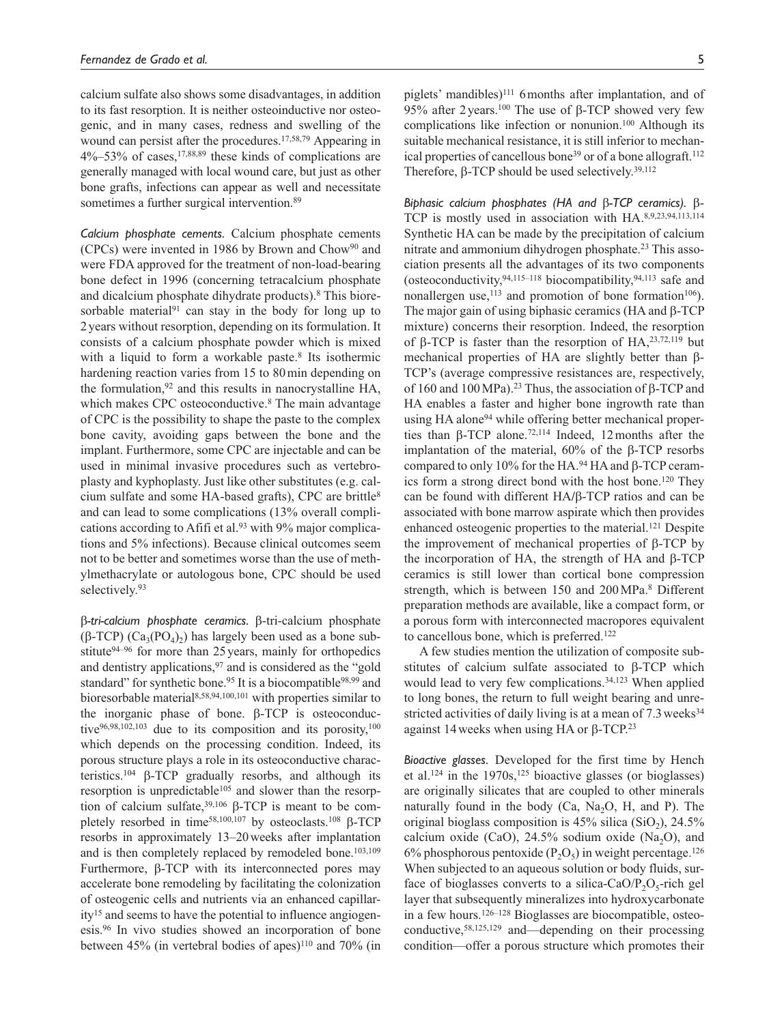calcium sulfate also shows some disadvantages, in addition to its fast resorption. It is neither osteoinductive nor osteogenic, and in many cases, redness and swelling of the wound can persist after the procedures.17,58,79 Appearing in  $4\%$ –53% of cases,  $17,88,89$  these kinds of complications are generally managed with local wound care, but just as other bone grafts, infections can appear as well and necessitate sometimes a further surgical intervention.<sup>89</sup>

*Calcium phosphate cements.* Calcium phosphate cements (CPCs) were invented in 1986 by Brown and Chow90 and were FDA approved for the treatment of non-load-bearing bone defect in 1996 (concerning tetracalcium phosphate and dicalcium phosphate dihydrate products).8 This bioresorbable material<sup>91</sup> can stay in the body for long up to 2 years without resorption, depending on its formulation. It consists of a calcium phosphate powder which is mixed with a liquid to form a workable paste.<sup>8</sup> Its isothermic hardening reaction varies from 15 to 80min depending on the formulation,92 and this results in nanocrystalline HA, which makes CPC osteoconductive.<sup>8</sup> The main advantage of CPC is the possibility to shape the paste to the complex bone cavity, avoiding gaps between the bone and the implant. Furthermore, some CPC are injectable and can be used in minimal invasive procedures such as vertebroplasty and kyphoplasty. Just like other substitutes (e.g. calcium sulfate and some HA-based grafts), CPC are brittle8 and can lead to some complications (13% overall complications according to Afifi et al.<sup>93</sup> with 9% major complications and 5% infections). Because clinical outcomes seem not to be better and sometimes worse than the use of methylmethacrylate or autologous bone, CPC should be used selectively.<sup>93</sup>

β*-tri-calcium phosphate ceramics.* β-tri-calcium phosphate (β-TCP)  $(Ca_3(PO_4)_{2})$  has largely been used as a bone substitute94–96 for more than 25years, mainly for orthopedics and dentistry applications,<sup>97</sup> and is considered as the "gold" standard" for synthetic bone.<sup>95</sup> It is a biocompatible<sup>98,99</sup> and bioresorbable material8,58,94,100,101 with properties similar to the inorganic phase of bone. β-TCP is osteoconductive<sup>96,98,102,103</sup> due to its composition and its porosity,<sup>100</sup> which depends on the processing condition. Indeed, its porous structure plays a role in its osteoconductive characteristics.104 β-TCP gradually resorbs, and although its resorption is unpredictable<sup>105</sup> and slower than the resorption of calcium sulfate, $39,106$  β-TCP is meant to be completely resorbed in time58,100,107 by osteoclasts.108 β-TCP resorbs in approximately 13–20weeks after implantation and is then completely replaced by remodeled bone.<sup>103,109</sup> Furthermore, β-TCP with its interconnected pores may accelerate bone remodeling by facilitating the colonization of osteogenic cells and nutrients via an enhanced capillarity15 and seems to have the potential to influence angiogenesis.96 In vivo studies showed an incorporation of bone between 45% (in vertebral bodies of apes)110 and 70% (in piglets' mandibles)<sup>111</sup> 6 months after implantation, and of 95% after 2 years.<sup>100</sup> The use of β-TCP showed very few complications like infection or nonunion.100 Although its suitable mechanical resistance, it is still inferior to mechanical properties of cancellous bone<sup>39</sup> or of a bone allograft.<sup>112</sup> Therefore, β-TCP should be used selectively.39,112

*Biphasic calcium phosphates (HA and* β*-TCP ceramics).* β-TCP is mostly used in association with HA.8,9,23,94,113,114 Synthetic HA can be made by the precipitation of calcium nitrate and ammonium dihydrogen phosphate.23 This association presents all the advantages of its two components (osteoconductivity,  $94,115-118$  biocompatibility,  $94,113$  safe and nonallergen use, $^{113}$  and promotion of bone formation<sup>106</sup>). The major gain of using biphasic ceramics (HA and β-TCP mixture) concerns their resorption. Indeed, the resorption of β-TCP is faster than the resorption of HA, $23,72,119$  but mechanical properties of HA are slightly better than β-TCP's (average compressive resistances are, respectively, of 160 and 100 MPa).<sup>23</sup> Thus, the association of β-TCP and HA enables a faster and higher bone ingrowth rate than using HA alone<sup>94</sup> while offering better mechanical properties than β-TCP alone.<sup>72,114</sup> Indeed, 12months after the implantation of the material, 60% of the β-TCP resorbs compared to only 10% for the HA.94 HA and β-TCP ceramics form a strong direct bond with the host bone.120 They can be found with different HA**/**β-TCP ratios and can be associated with bone marrow aspirate which then provides enhanced osteogenic properties to the material.<sup>121</sup> Despite the improvement of mechanical properties of β-TCP by the incorporation of HA, the strength of HA and β-TCP ceramics is still lower than cortical bone compression strength, which is between 150 and 200MPa.8 Different preparation methods are available, like a compact form, or a porous form with interconnected macropores equivalent to cancellous bone, which is preferred.<sup>122</sup>

A few studies mention the utilization of composite substitutes of calcium sulfate associated to β-TCP which would lead to very few complications.<sup>34,123</sup> When applied to long bones, the return to full weight bearing and unrestricted activities of daily living is at a mean of 7.3 weeks<sup>34</sup> against 14weeks when using HA or β-TCP.23

*Bioactive glasses.* Developed for the first time by Hench et al.124 in the 1970s,125 bioactive glasses (or bioglasses) are originally silicates that are coupled to other minerals naturally found in the body (Ca, Na<sub>2</sub>O, H, and P). The original bioglass composition is  $45\%$  silica (SiO<sub>2</sub>), 24.5% calcium oxide (CaO),  $24.5\%$  sodium oxide (Na<sub>2</sub>O), and 6% phosphorous pentoxide  $(P_2O_5)$  in weight percentage.<sup>126</sup> When subjected to an aqueous solution or body fluids, surface of bioglasses converts to a silica-CaO/P<sub>2</sub>O<sub>5</sub>-rich gel layer that subsequently mineralizes into hydroxycarbonate in a few hours.126–128 Bioglasses are biocompatible, osteoconductive,58,125,129 and—depending on their processing condition—offer a porous structure which promotes their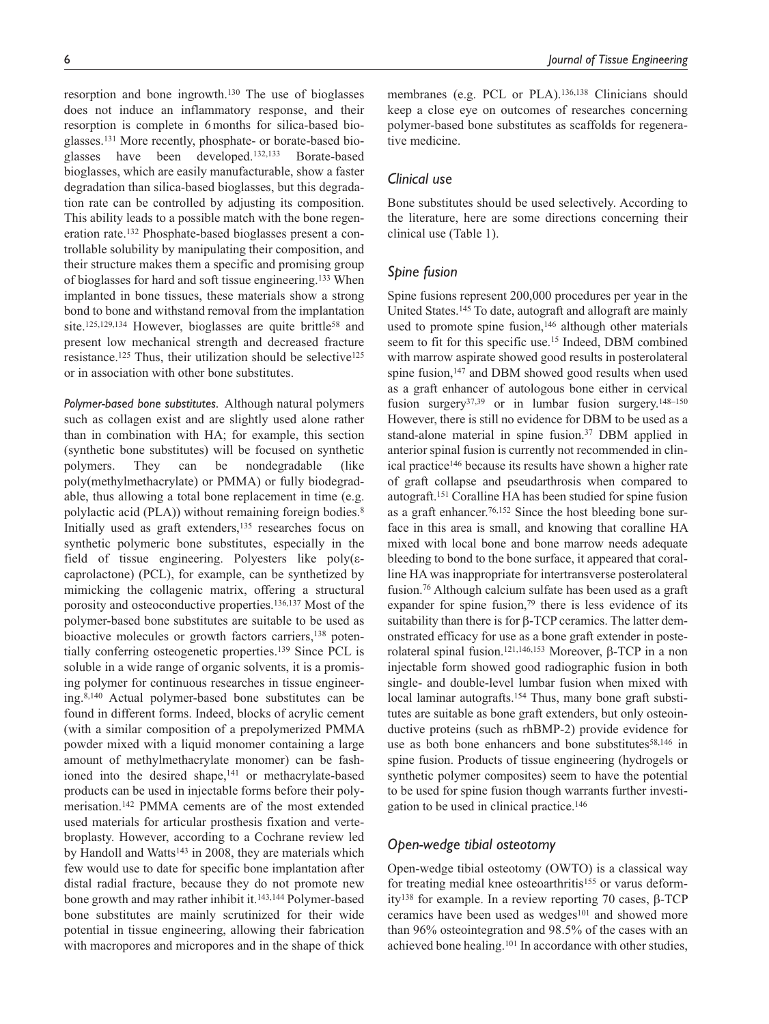resorption and bone ingrowth.130 The use of bioglasses does not induce an inflammatory response, and their resorption is complete in 6months for silica-based bioglasses.131 More recently, phosphate- or borate-based bioglasses have been developed.132,133 Borate-based bioglasses, which are easily manufacturable, show a faster degradation than silica-based bioglasses, but this degradation rate can be controlled by adjusting its composition. This ability leads to a possible match with the bone regeneration rate.132 Phosphate-based bioglasses present a controllable solubility by manipulating their composition, and their structure makes them a specific and promising group of bioglasses for hard and soft tissue engineering.133 When implanted in bone tissues, these materials show a strong bond to bone and withstand removal from the implantation site.<sup>125,129,134</sup> However, bioglasses are quite brittle<sup>58</sup> and present low mechanical strength and decreased fracture resistance.<sup>125</sup> Thus, their utilization should be selective<sup>125</sup> or in association with other bone substitutes.

*Polymer-based bone substitutes.* Although natural polymers such as collagen exist and are slightly used alone rather than in combination with HA; for example, this section (synthetic bone substitutes) will be focused on synthetic polymers. They can be nondegradable (like poly(methylmethacrylate) or PMMA) or fully biodegradable, thus allowing a total bone replacement in time (e.g. polylactic acid (PLA)) without remaining foreign bodies.8 Initially used as graft extenders,135 researches focus on synthetic polymeric bone substitutes, especially in the field of tissue engineering. Polyesters like  $poly(\varepsilon$ caprolactone) (PCL), for example, can be synthetized by mimicking the collagenic matrix, offering a structural porosity and osteoconductive properties.136,137 Most of the polymer-based bone substitutes are suitable to be used as bioactive molecules or growth factors carriers,<sup>138</sup> potentially conferring osteogenetic properties.139 Since PCL is soluble in a wide range of organic solvents, it is a promising polymer for continuous researches in tissue engineering.8,140 Actual polymer-based bone substitutes can be found in different forms. Indeed, blocks of acrylic cement (with a similar composition of a prepolymerized PMMA powder mixed with a liquid monomer containing a large amount of methylmethacrylate monomer) can be fashioned into the desired shape,<sup>141</sup> or methacrylate-based products can be used in injectable forms before their polymerisation.142 PMMA cements are of the most extended used materials for articular prosthesis fixation and vertebroplasty. However, according to a Cochrane review led by Handoll and Watts<sup>143</sup> in 2008, they are materials which few would use to date for specific bone implantation after distal radial fracture, because they do not promote new bone growth and may rather inhibit it.143,144 Polymer-based bone substitutes are mainly scrutinized for their wide potential in tissue engineering, allowing their fabrication with macropores and micropores and in the shape of thick membranes (e.g. PCL or PLA).<sup>136,138</sup> Clinicians should keep a close eye on outcomes of researches concerning polymer-based bone substitutes as scaffolds for regenerative medicine.

## *Clinical use*

Bone substitutes should be used selectively. According to the literature, here are some directions concerning their clinical use (Table 1).

## *Spine fusion*

Spine fusions represent 200,000 procedures per year in the United States.145 To date, autograft and allograft are mainly used to promote spine fusion,<sup>146</sup> although other materials seem to fit for this specific use.15 Indeed, DBM combined with marrow aspirate showed good results in posterolateral spine fusion,<sup>147</sup> and DBM showed good results when used as a graft enhancer of autologous bone either in cervical fusion surgery<sup>37,39</sup> or in lumbar fusion surgery.<sup>148–150</sup> However, there is still no evidence for DBM to be used as a stand-alone material in spine fusion.37 DBM applied in anterior spinal fusion is currently not recommended in clinical practice<sup>146</sup> because its results have shown a higher rate of graft collapse and pseudarthrosis when compared to autograft.151 Coralline HA has been studied for spine fusion as a graft enhancer.76,152 Since the host bleeding bone surface in this area is small, and knowing that coralline HA mixed with local bone and bone marrow needs adequate bleeding to bond to the bone surface, it appeared that coralline HA was inappropriate for intertransverse posterolateral fusion.76 Although calcium sulfate has been used as a graft expander for spine fusion,<sup>79</sup> there is less evidence of its suitability than there is for β-TCP ceramics. The latter demonstrated efficacy for use as a bone graft extender in posterolateral spinal fusion.121,146,153 Moreover, β-TCP in a non injectable form showed good radiographic fusion in both single- and double-level lumbar fusion when mixed with local laminar autografts.154 Thus, many bone graft substitutes are suitable as bone graft extenders, but only osteoinductive proteins (such as rhBMP-2) provide evidence for use as both bone enhancers and bone substitutes<sup>58,146</sup> in spine fusion. Products of tissue engineering (hydrogels or synthetic polymer composites) seem to have the potential to be used for spine fusion though warrants further investigation to be used in clinical practice.146

### *Open-wedge tibial osteotomy*

Open-wedge tibial osteotomy (OWTO) is a classical way for treating medial knee osteoarthritis<sup>155</sup> or varus deformity138 for example. In a review reporting 70 cases, β-TCP ceramics have been used as wedges<sup>101</sup> and showed more than 96% osteointegration and 98.5% of the cases with an achieved bone healing.101 In accordance with other studies,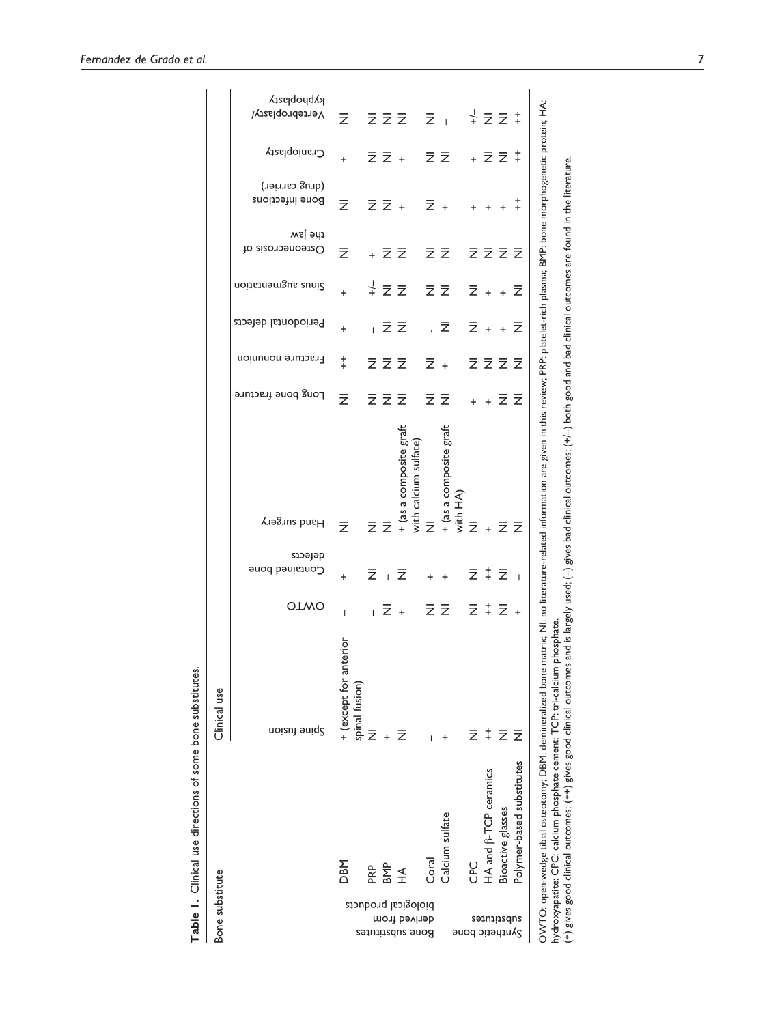| Clinical use | <b>OTWO</b><br>aoizut suid?               | $\overline{1}$<br>nterio<br>+ (except for a<br>spinal fusion) | ž | $+$ $\overline{z}$                           |                                                                              | $\overline{1}$ | $\overline{z}$ + $\overline{z}$ $\overline{z}$ + $\overline{z}$ +<br>÷.<br>Calcium sulfate                                                                                                                                                                                                                                                                                                 | ž. | $\ddagger$<br>HA and $\beta$ -TCP ceramics | $\bar{z}$<br>Bioactive glasses                                                                   | Ξ<br>Polymer-based substitutes |
|--------------|-------------------------------------------|---------------------------------------------------------------|---|----------------------------------------------|------------------------------------------------------------------------------|----------------|--------------------------------------------------------------------------------------------------------------------------------------------------------------------------------------------------------------------------------------------------------------------------------------------------------------------------------------------------------------------------------------------|----|--------------------------------------------|--------------------------------------------------------------------------------------------------|--------------------------------|
|              | defects<br>Contained bone                 | $+$                                                           |   |                                              | $\overline{z}$ + $\overline{z}$                                              |                | $+$ $+$                                                                                                                                                                                                                                                                                                                                                                                    |    |                                            | $\overline{z}$ $\overline{z}$ $\overline{z}$                                                     |                                |
|              | Hand surgery                              | $\overline{z}$                                                |   |                                              | a composite graft<br>calcium sulfate)                                        |                | : a composite graft<br>HA)<br>$\overline{z}$ $\overline{z}$ + $\overline{z}$ $\overline{z}$ + $\overline{z}$ + $\overline{z}$ + $\overline{z}$ + $\overline{z}$ + $\overline{z}$ + $\overline{z}$ + $\overline{z}$ + $\overline{z}$ + $\overline{z}$ + $\overline{z}$ + $\overline{z}$ + $\overline{z}$ + $\overline{z}$ + $\overline{z}$ + $\overline{z}$ + $\overline{z}$ + $\overline{$ |    |                                            |                                                                                                  |                                |
|              | Long bone fracture                        | $\bar{z}$                                                     |   |                                              | <b>z</b> z                                                                   |                | $\bar{z}$ $\bar{z}$                                                                                                                                                                                                                                                                                                                                                                        |    |                                            | + + Z Z                                                                                          |                                |
|              | Fracture nonunion                         | $+$<br>$\ddagger$                                             |   | $\overline{z}$ $\overline{z}$ $\overline{z}$ |                                                                              |                | ,云<br>$\overline{z}$ +                                                                                                                                                                                                                                                                                                                                                                     |    |                                            | $\overline{z}$ + + $\overline{z}$<br>$\overline{z}$ $\overline{z}$ $\overline{z}$ $\overline{z}$ |                                |
|              | Sinus augmentation<br>Periodontal defects | $\ddot{}$                                                     |   |                                              | $\frac{1}{2}$ $\overline{z}$ $\overline{z}$<br>$\overline{z}$ $\overline{z}$ |                | $\overline{z}$ $\overline{z}$                                                                                                                                                                                                                                                                                                                                                              |    |                                            | $\overline{z}$ + + $\overline{z}$                                                                |                                |
|              | the jaw<br>Usteonecrosis of               | $\bar{z}$                                                     |   |                                              | + 2 Z                                                                        |                | $\overline{z}$ $\overline{z}$                                                                                                                                                                                                                                                                                                                                                              |    |                                            | ええええ                                                                                             |                                |
|              | (Jerug carrier)<br>Bone infections        | $\bar{z}$                                                     |   |                                              |                                                                              |                | $\overline{z}$ $\overline{z}$ + $\overline{z}$ + + + + +                                                                                                                                                                                                                                                                                                                                   |    |                                            |                                                                                                  |                                |
|              | Cranioplasty                              | $+$                                                           |   |                                              |                                                                              |                | $\bar{z}$ $\bar{z}$ + $\bar{z}$ $\bar{z}$ + $\bar{z}$ $\bar{z}$ $\ddagger$                                                                                                                                                                                                                                                                                                                 |    |                                            |                                                                                                  |                                |
|              | kyphoplasty<br>Vertebroplasty/            | $\overline{z}$                                                |   |                                              | $\overline{z}$ $\overline{z}$ $\overline{z}$ $\overline{z}$ $\overline{z}$   |                |                                                                                                                                                                                                                                                                                                                                                                                            |    |                                            | $\frac{1}{2}$ $\overline{z}$ $\overline{z}$ $\overline{z}$                                       |                                |

Table 1. Clinical use directions of some bone substitutes.<br> $\frac{1}{n}$ **Table 1.** Clinical use directions of some bone substitutes.

OWTO: open-wedge tibial osteotomy; DBM: demineralized bone matrix; NI: no literature-related information are given in this review; PRP: platelet-rich plasma; BMP: bone morphogenetic protein; HA:<br>hydroxyapatite: CPC: calciu OWTO: open-wedge tibial osteotomy; DBM: demineralized bone matrix; NI: no literature-related information are given in this review; PRP: platelet-rich plasma; BMP: bone morphogenetic protein; HA: (+) gives good clinical outcomes; (++) gives good clinical outcomes and is largely used; (–) gives bad clinical outcomes; (+/–) both good and bad clinical outcomes are found in the literature.hydroxyapatite; CPC: calcium phosphate cement; TCP: tri-calcium phosphate.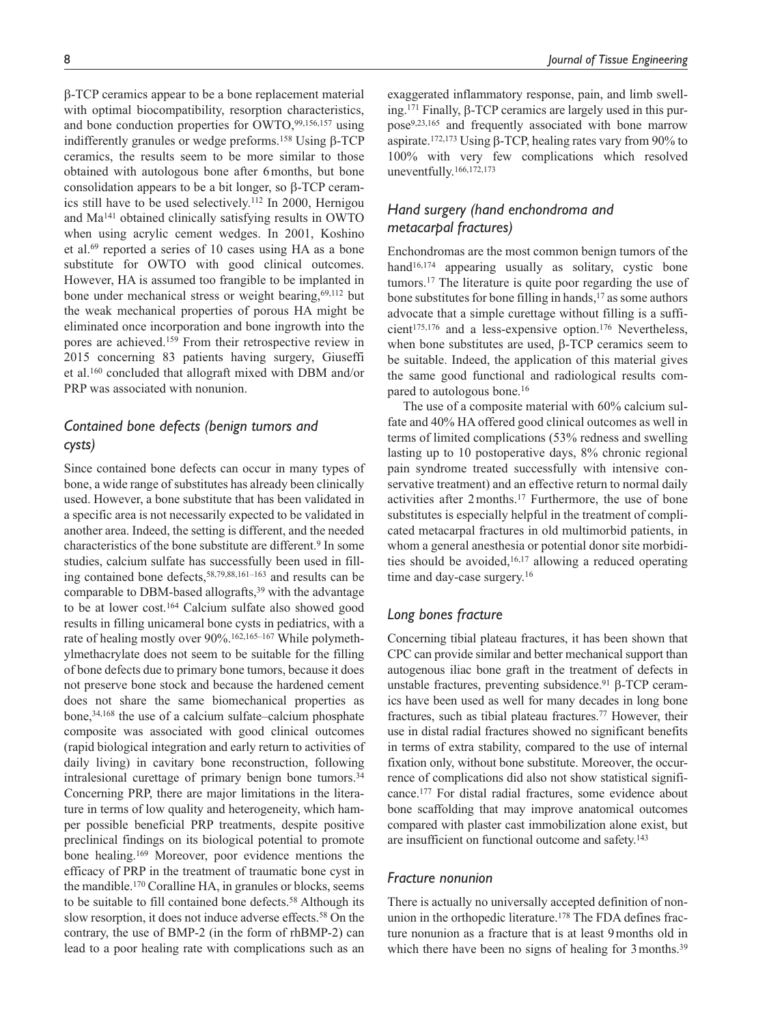β-TCP ceramics appear to be a bone replacement material with optimal biocompatibility, resorption characteristics, and bone conduction properties for  $\text{OWTO},^{99,156,157}$  using indifferently granules or wedge preforms.158 Using β-TCP ceramics, the results seem to be more similar to those obtained with autologous bone after 6months, but bone consolidation appears to be a bit longer, so β-TCP ceramics still have to be used selectively.112 In 2000, Hernigou and Ma141 obtained clinically satisfying results in OWTO when using acrylic cement wedges. In 2001, Koshino et al.69 reported a series of 10 cases using HA as a bone substitute for OWTO with good clinical outcomes. However, HA is assumed too frangible to be implanted in bone under mechanical stress or weight bearing,<sup>69,112</sup> but the weak mechanical properties of porous HA might be eliminated once incorporation and bone ingrowth into the pores are achieved.159 From their retrospective review in 2015 concerning 83 patients having surgery, Giuseffi et al.160 concluded that allograft mixed with DBM and/or PRP was associated with nonunion.

# *Contained bone defects (benign tumors and cysts)*

Since contained bone defects can occur in many types of bone, a wide range of substitutes has already been clinically used. However, a bone substitute that has been validated in a specific area is not necessarily expected to be validated in another area. Indeed, the setting is different, and the needed characteristics of the bone substitute are different.9 In some studies, calcium sulfate has successfully been used in filling contained bone defects,58,79,88,161–163 and results can be comparable to DBM-based allografts,<sup>39</sup> with the advantage to be at lower cost.164 Calcium sulfate also showed good results in filling unicameral bone cysts in pediatrics, with a rate of healing mostly over 90%.162,165–167 While polymethylmethacrylate does not seem to be suitable for the filling of bone defects due to primary bone tumors, because it does not preserve bone stock and because the hardened cement does not share the same biomechanical properties as bone,34,168 the use of a calcium sulfate–calcium phosphate composite was associated with good clinical outcomes (rapid biological integration and early return to activities of daily living) in cavitary bone reconstruction, following intralesional curettage of primary benign bone tumors.<sup>34</sup> Concerning PRP, there are major limitations in the literature in terms of low quality and heterogeneity, which hamper possible beneficial PRP treatments, despite positive preclinical findings on its biological potential to promote bone healing.169 Moreover, poor evidence mentions the efficacy of PRP in the treatment of traumatic bone cyst in the mandible.170 Coralline HA, in granules or blocks, seems to be suitable to fill contained bone defects.58 Although its slow resorption, it does not induce adverse effects.<sup>58</sup> On the contrary, the use of BMP-2 (in the form of rhBMP-2) can lead to a poor healing rate with complications such as an

exaggerated inflammatory response, pain, and limb swelling.171 Finally, β-TCP ceramics are largely used in this purpose9,23,165 and frequently associated with bone marrow aspirate.172,173 Using β-TCP, healing rates vary from 90% to 100% with very few complications which resolved uneventfully.166,172,173

# *Hand surgery (hand enchondroma and metacarpal fractures)*

Enchondromas are the most common benign tumors of the hand<sup>16,174</sup> appearing usually as solitary, cystic bone tumors.17 The literature is quite poor regarding the use of bone substitutes for bone filling in hands,<sup>17</sup> as some authors advocate that a simple curettage without filling is a sufficient175,176 and a less-expensive option.176 Nevertheless, when bone substitutes are used, β-TCP ceramics seem to be suitable. Indeed, the application of this material gives the same good functional and radiological results compared to autologous bone.16

The use of a composite material with 60% calcium sulfate and 40% HA offered good clinical outcomes as well in terms of limited complications (53% redness and swelling lasting up to 10 postoperative days, 8% chronic regional pain syndrome treated successfully with intensive conservative treatment) and an effective return to normal daily activities after 2months.17 Furthermore, the use of bone substitutes is especially helpful in the treatment of complicated metacarpal fractures in old multimorbid patients, in whom a general anesthesia or potential donor site morbidities should be avoided,16,17 allowing a reduced operating time and day-case surgery.<sup>16</sup>

## *Long bones fracture*

Concerning tibial plateau fractures, it has been shown that CPC can provide similar and better mechanical support than autogenous iliac bone graft in the treatment of defects in unstable fractures, preventing subsidence.<sup>91</sup> β-TCP ceramics have been used as well for many decades in long bone fractures, such as tibial plateau fractures.77 However, their use in distal radial fractures showed no significant benefits in terms of extra stability, compared to the use of internal fixation only, without bone substitute. Moreover, the occurrence of complications did also not show statistical significance.177 For distal radial fractures, some evidence about bone scaffolding that may improve anatomical outcomes compared with plaster cast immobilization alone exist, but are insufficient on functional outcome and safety.143

### *Fracture nonunion*

There is actually no universally accepted definition of nonunion in the orthopedic literature.178 The FDA defines fracture nonunion as a fracture that is at least 9months old in which there have been no signs of healing for 3 months.<sup>39</sup>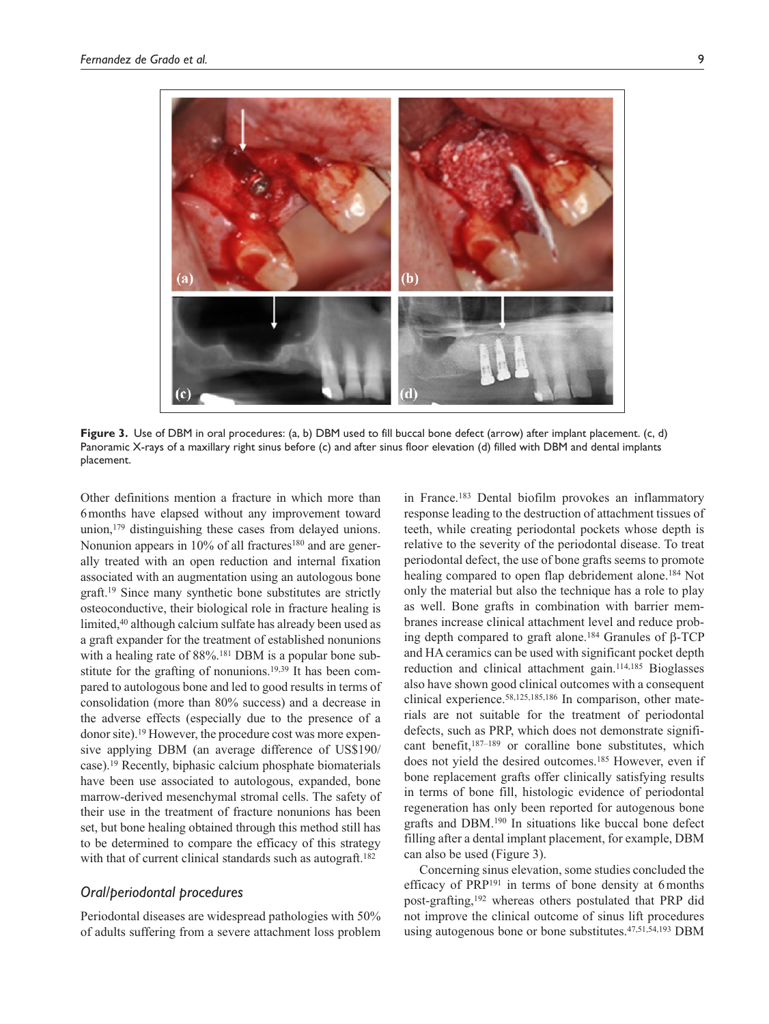

**Figure 3.** Use of DBM in oral procedures: (a, b) DBM used to fill buccal bone defect (arrow) after implant placement. (c, d) Panoramic X-rays of a maxillary right sinus before (c) and after sinus floor elevation (d) filled with DBM and dental implants placement.

Other definitions mention a fracture in which more than 6months have elapsed without any improvement toward union,179 distinguishing these cases from delayed unions. Nonunion appears in 10% of all fractures<sup>180</sup> and are generally treated with an open reduction and internal fixation associated with an augmentation using an autologous bone graft.19 Since many synthetic bone substitutes are strictly osteoconductive, their biological role in fracture healing is limited,<sup>40</sup> although calcium sulfate has already been used as a graft expander for the treatment of established nonunions with a healing rate of  $88\%$ .<sup>181</sup> DBM is a popular bone substitute for the grafting of nonunions.<sup>19,39</sup> It has been compared to autologous bone and led to good results in terms of consolidation (more than 80% success) and a decrease in the adverse effects (especially due to the presence of a donor site).19 However, the procedure cost was more expensive applying DBM (an average difference of US\$190/ case).19 Recently, biphasic calcium phosphate biomaterials have been use associated to autologous, expanded, bone marrow-derived mesenchymal stromal cells. The safety of their use in the treatment of fracture nonunions has been set, but bone healing obtained through this method still has to be determined to compare the efficacy of this strategy with that of current clinical standards such as autograft.<sup>182</sup>

## *Oral/periodontal procedures*

Periodontal diseases are widespread pathologies with 50% of adults suffering from a severe attachment loss problem in France.183 Dental biofilm provokes an inflammatory response leading to the destruction of attachment tissues of teeth, while creating periodontal pockets whose depth is relative to the severity of the periodontal disease. To treat periodontal defect, the use of bone grafts seems to promote healing compared to open flap debridement alone.<sup>184</sup> Not only the material but also the technique has a role to play as well. Bone grafts in combination with barrier membranes increase clinical attachment level and reduce probing depth compared to graft alone.<sup>184</sup> Granules of β-TCP and HA ceramics can be used with significant pocket depth reduction and clinical attachment gain.114,185 Bioglasses also have shown good clinical outcomes with a consequent clinical experience.58,125,185,186 In comparison, other materials are not suitable for the treatment of periodontal defects, such as PRP, which does not demonstrate significant benefit,187–189 or coralline bone substitutes, which does not yield the desired outcomes.<sup>185</sup> However, even if bone replacement grafts offer clinically satisfying results in terms of bone fill, histologic evidence of periodontal regeneration has only been reported for autogenous bone grafts and DBM.190 In situations like buccal bone defect filling after a dental implant placement, for example, DBM can also be used (Figure 3).

Concerning sinus elevation, some studies concluded the efficacy of PRP<sup>191</sup> in terms of bone density at 6 months post-grafting,192 whereas others postulated that PRP did not improve the clinical outcome of sinus lift procedures using autogenous bone or bone substitutes.47,51,54,193 DBM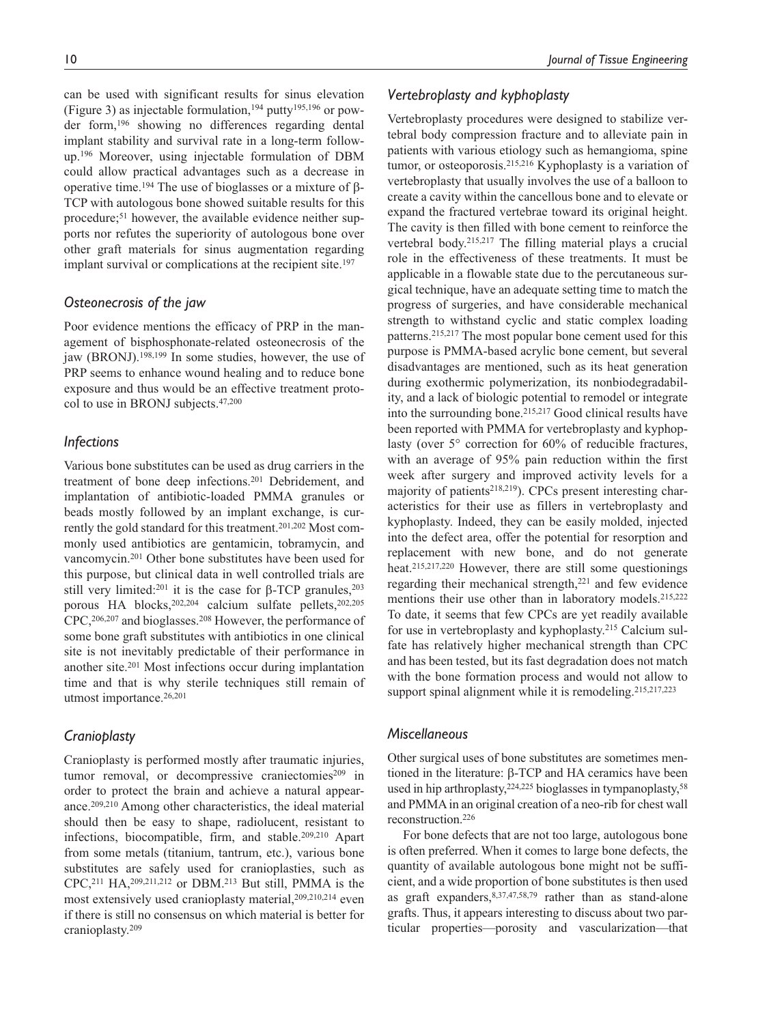can be used with significant results for sinus elevation (Figure 3) as injectable formulation,<sup>194</sup> putty<sup>195,196</sup> or powder form,196 showing no differences regarding dental implant stability and survival rate in a long-term followup.196 Moreover, using injectable formulation of DBM could allow practical advantages such as a decrease in operative time.194 The use of bioglasses or a mixture of β-TCP with autologous bone showed suitable results for this procedure;51 however, the available evidence neither supports nor refutes the superiority of autologous bone over other graft materials for sinus augmentation regarding implant survival or complications at the recipient site.<sup>197</sup>

## *Osteonecrosis of the jaw*

Poor evidence mentions the efficacy of PRP in the management of bisphosphonate-related osteonecrosis of the jaw (BRONJ).198,199 In some studies, however, the use of PRP seems to enhance wound healing and to reduce bone exposure and thus would be an effective treatment protocol to use in BRONJ subjects.47,200

### *Infections*

Various bone substitutes can be used as drug carriers in the treatment of bone deep infections.201 Debridement, and implantation of antibiotic-loaded PMMA granules or beads mostly followed by an implant exchange, is currently the gold standard for this treatment.<sup>201,202</sup> Most commonly used antibiotics are gentamicin, tobramycin, and vancomycin.201 Other bone substitutes have been used for this purpose, but clinical data in well controlled trials are still very limited:<sup>201</sup> it is the case for  $\beta$ -TCP granules,<sup>203</sup> porous HA blocks,202,204 calcium sulfate pellets,202,205 CPC,206,207 and bioglasses.208 However, the performance of some bone graft substitutes with antibiotics in one clinical site is not inevitably predictable of their performance in another site.201 Most infections occur during implantation time and that is why sterile techniques still remain of utmost importance.26,201

#### *Cranioplasty*

Cranioplasty is performed mostly after traumatic injuries, tumor removal, or decompressive craniectomies<sup>209</sup> in order to protect the brain and achieve a natural appearance.209,210 Among other characteristics, the ideal material should then be easy to shape, radiolucent, resistant to infections, biocompatible, firm, and stable.209,210 Apart from some metals (titanium, tantrum, etc.), various bone substitutes are safely used for cranioplasties, such as CPC,211 HA,209,211,212 or DBM.213 But still, PMMA is the most extensively used cranioplasty material,<sup>209,210,214</sup> even if there is still no consensus on which material is better for cranioplasty.209

## *Vertebroplasty and kyphoplasty*

Vertebroplasty procedures were designed to stabilize vertebral body compression fracture and to alleviate pain in patients with various etiology such as hemangioma, spine tumor, or osteoporosis.215,216 Kyphoplasty is a variation of vertebroplasty that usually involves the use of a balloon to create a cavity within the cancellous bone and to elevate or expand the fractured vertebrae toward its original height. The cavity is then filled with bone cement to reinforce the vertebral body.215,217 The filling material plays a crucial role in the effectiveness of these treatments. It must be applicable in a flowable state due to the percutaneous surgical technique, have an adequate setting time to match the progress of surgeries, and have considerable mechanical strength to withstand cyclic and static complex loading patterns.215,217 The most popular bone cement used for this purpose is PMMA-based acrylic bone cement, but several disadvantages are mentioned, such as its heat generation during exothermic polymerization, its nonbiodegradability, and a lack of biologic potential to remodel or integrate into the surrounding bone.215,217 Good clinical results have been reported with PMMA for vertebroplasty and kyphoplasty (over 5° correction for 60% of reducible fractures, with an average of 95% pain reduction within the first week after surgery and improved activity levels for a majority of patients<sup>218,219</sup>). CPCs present interesting characteristics for their use as fillers in vertebroplasty and kyphoplasty. Indeed, they can be easily molded, injected into the defect area, offer the potential for resorption and replacement with new bone, and do not generate heat.215,217,220 However, there are still some questionings regarding their mechanical strength,221 and few evidence mentions their use other than in laboratory models.215,222 To date, it seems that few CPCs are yet readily available for use in vertebroplasty and kyphoplasty.215 Calcium sulfate has relatively higher mechanical strength than CPC and has been tested, but its fast degradation does not match with the bone formation process and would not allow to support spinal alignment while it is remodeling.<sup>215,217,223</sup>

### *Miscellaneous*

Other surgical uses of bone substitutes are sometimes mentioned in the literature: β-TCP and HA ceramics have been used in hip arthroplasty,<sup>224,225</sup> bioglasses in tympanoplasty,<sup>58</sup> and PMMA in an original creation of a neo-rib for chest wall reconstruction.226

For bone defects that are not too large, autologous bone is often preferred. When it comes to large bone defects, the quantity of available autologous bone might not be sufficient, and a wide proportion of bone substitutes is then used as graft expanders,8,37,47,58,79 rather than as stand-alone grafts. Thus, it appears interesting to discuss about two particular properties—porosity and vascularization—that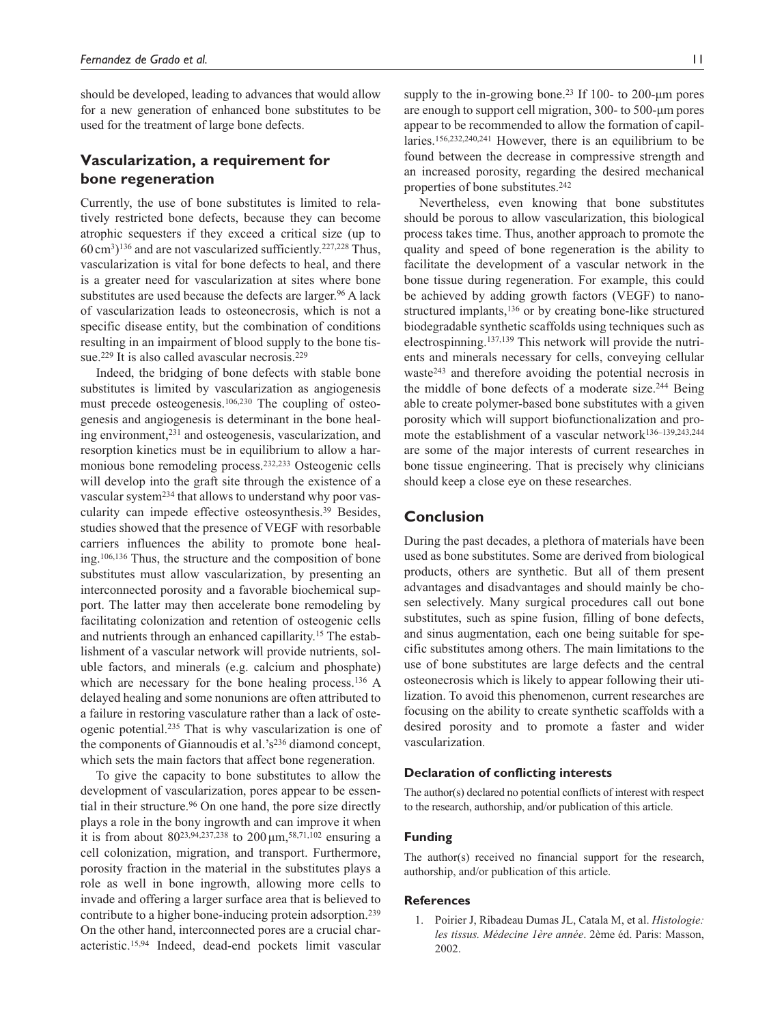should be developed, leading to advances that would allow for a new generation of enhanced bone substitutes to be used for the treatment of large bone defects.

## **Vascularization, a requirement for bone regeneration**

Currently, the use of bone substitutes is limited to relatively restricted bone defects, because they can become atrophic sequesters if they exceed a critical size (up to  $60 \text{ cm}^3$ <sup>136</sup> and are not vascularized sufficiently.<sup>227,228</sup> Thus, vascularization is vital for bone defects to heal, and there is a greater need for vascularization at sites where bone substitutes are used because the defects are larger.<sup>96</sup> A lack of vascularization leads to osteonecrosis, which is not a specific disease entity, but the combination of conditions resulting in an impairment of blood supply to the bone tissue.<sup>229</sup> It is also called avascular necrosis.<sup>229</sup>

Indeed, the bridging of bone defects with stable bone substitutes is limited by vascularization as angiogenesis must precede osteogenesis.106,230 The coupling of osteogenesis and angiogenesis is determinant in the bone healing environment,231 and osteogenesis, vascularization, and resorption kinetics must be in equilibrium to allow a harmonious bone remodeling process.232,233 Osteogenic cells will develop into the graft site through the existence of a vascular system<sup>234</sup> that allows to understand why poor vascularity can impede effective osteosynthesis.39 Besides, studies showed that the presence of VEGF with resorbable carriers influences the ability to promote bone healing.106,136 Thus, the structure and the composition of bone substitutes must allow vascularization, by presenting an interconnected porosity and a favorable biochemical support. The latter may then accelerate bone remodeling by facilitating colonization and retention of osteogenic cells and nutrients through an enhanced capillarity.15 The establishment of a vascular network will provide nutrients, soluble factors, and minerals (e.g. calcium and phosphate) which are necessary for the bone healing process.<sup>136</sup> A delayed healing and some nonunions are often attributed to a failure in restoring vasculature rather than a lack of osteogenic potential.235 That is why vascularization is one of the components of Giannoudis et al.'s236 diamond concept, which sets the main factors that affect bone regeneration.

To give the capacity to bone substitutes to allow the development of vascularization, pores appear to be essential in their structure.<sup>96</sup> On one hand, the pore size directly plays a role in the bony ingrowth and can improve it when it is from about 80<sup>23,94,237,238</sup> to 200  $\mu$ m,<sup>58,71,102</sup> ensuring a cell colonization, migration, and transport. Furthermore, porosity fraction in the material in the substitutes plays a role as well in bone ingrowth, allowing more cells to invade and offering a larger surface area that is believed to contribute to a higher bone-inducing protein adsorption.239 On the other hand, interconnected pores are a crucial characteristic.15,94 Indeed, dead-end pockets limit vascular supply to the in-growing bone.<sup>23</sup> If 100- to 200-um pores are enough to support cell migration, 300- to 500-µm pores appear to be recommended to allow the formation of capillaries.156,232,240,241 However, there is an equilibrium to be found between the decrease in compressive strength and an increased porosity, regarding the desired mechanical properties of bone substitutes.<sup>242</sup>

Nevertheless, even knowing that bone substitutes should be porous to allow vascularization, this biological process takes time. Thus, another approach to promote the quality and speed of bone regeneration is the ability to facilitate the development of a vascular network in the bone tissue during regeneration. For example, this could be achieved by adding growth factors (VEGF) to nanostructured implants,<sup>136</sup> or by creating bone-like structured biodegradable synthetic scaffolds using techniques such as electrospinning.137,139 This network will provide the nutrients and minerals necessary for cells, conveying cellular waste243 and therefore avoiding the potential necrosis in the middle of bone defects of a moderate size.244 Being able to create polymer-based bone substitutes with a given porosity which will support biofunctionalization and promote the establishment of a vascular network<sup>136-139,243,244</sup> are some of the major interests of current researches in bone tissue engineering. That is precisely why clinicians should keep a close eye on these researches.

## **Conclusion**

During the past decades, a plethora of materials have been used as bone substitutes. Some are derived from biological products, others are synthetic. But all of them present advantages and disadvantages and should mainly be chosen selectively. Many surgical procedures call out bone substitutes, such as spine fusion, filling of bone defects, and sinus augmentation, each one being suitable for specific substitutes among others. The main limitations to the use of bone substitutes are large defects and the central osteonecrosis which is likely to appear following their utilization. To avoid this phenomenon, current researches are focusing on the ability to create synthetic scaffolds with a desired porosity and to promote a faster and wider vascularization.

#### **Declaration of conflicting interests**

The author(s) declared no potential conflicts of interest with respect to the research, authorship, and/or publication of this article.

#### **Funding**

The author(s) received no financial support for the research, authorship, and/or publication of this article.

#### **References**

1. Poirier J, Ribadeau Dumas JL, Catala M, et al. *Histologie: les tissus. Médecine 1ère année*. 2ème éd. Paris: Masson, 2002.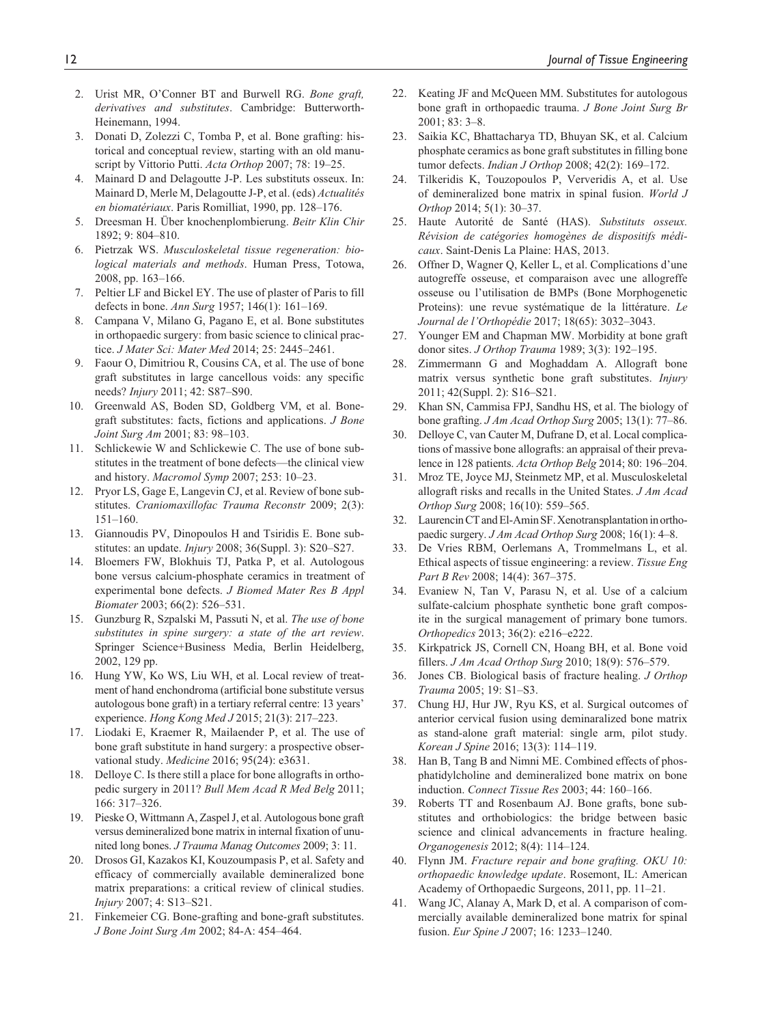- 2. Urist MR, O'Conner BT and Burwell RG. *Bone graft, derivatives and substitutes*. Cambridge: Butterworth-Heinemann, 1994.
- 3. Donati D, Zolezzi C, Tomba P, et al. Bone grafting: historical and conceptual review, starting with an old manuscript by Vittorio Putti. *Acta Orthop* 2007; 78: 19–25.
- 4. Mainard D and Delagoutte J-P. Les substituts osseux. In: Mainard D, Merle M, Delagoutte J-P, et al. (eds) *Actualités en biomatériaux*. Paris Romilliat, 1990, pp. 128–176.
- 5. Dreesman H. Über knochenplombierung. *Beitr Klin Chir* 1892; 9: 804–810.
- 6. Pietrzak WS. *Musculoskeletal tissue regeneration: biological materials and methods*. Human Press, Totowa, 2008, pp. 163–166.
- 7. Peltier LF and Bickel EY. The use of plaster of Paris to fill defects in bone. *Ann Surg* 1957; 146(1): 161–169.
- 8. Campana V, Milano G, Pagano E, et al. Bone substitutes in orthopaedic surgery: from basic science to clinical practice. *J Mater Sci: Mater Med* 2014; 25: 2445–2461.
- 9. Faour O, Dimitriou R, Cousins CA, et al. The use of bone graft substitutes in large cancellous voids: any specific needs? *Injury* 2011; 42: S87–S90.
- 10. Greenwald AS, Boden SD, Goldberg VM, et al. Bonegraft substitutes: facts, fictions and applications. *J Bone Joint Surg Am* 2001; 83: 98–103.
- 11. Schlickewie W and Schlickewie C. The use of bone substitutes in the treatment of bone defects—the clinical view and history. *Macromol Symp* 2007; 253: 10–23.
- 12. Pryor LS, Gage E, Langevin CJ, et al. Review of bone substitutes. *Craniomaxillofac Trauma Reconstr* 2009; 2(3): 151–160.
- 13. Giannoudis PV, Dinopoulos H and Tsiridis E. Bone substitutes: an update. *Injury* 2008; 36(Suppl. 3): S20–S27.
- 14. Bloemers FW, Blokhuis TJ, Patka P, et al. Autologous bone versus calcium-phosphate ceramics in treatment of experimental bone defects. *J Biomed Mater Res B Appl Biomater* 2003; 66(2): 526–531.
- 15. Gunzburg R, Szpalski M, Passuti N, et al. *The use of bone substitutes in spine surgery: a state of the art review*. Springer Science+Business Media, Berlin Heidelberg, 2002, 129 pp.
- 16. Hung YW, Ko WS, Liu WH, et al. Local review of treatment of hand enchondroma (artificial bone substitute versus autologous bone graft) in a tertiary referral centre: 13 years' experience. *Hong Kong Med J* 2015; 21(3): 217–223.
- 17. Liodaki E, Kraemer R, Mailaender P, et al. The use of bone graft substitute in hand surgery: a prospective observational study. *Medicine* 2016; 95(24): e3631.
- 18. Delloye C. Is there still a place for bone allografts in orthopedic surgery in 2011? *Bull Mem Acad R Med Belg* 2011; 166: 317–326.
- 19. Pieske O, Wittmann A, Zaspel J, et al. Autologous bone graft versus demineralized bone matrix in internal fixation of ununited long bones. *J Trauma Manag Outcomes* 2009; 3: 11.
- 20. Drosos GI, Kazakos KI, Kouzoumpasis P, et al. Safety and efficacy of commercially available demineralized bone matrix preparations: a critical review of clinical studies. *Injury* 2007; 4: S13–S21.
- 21. Finkemeier CG. Bone-grafting and bone-graft substitutes. *J Bone Joint Surg Am* 2002; 84-A: 454–464.
- 22. Keating JF and McQueen MM. Substitutes for autologous bone graft in orthopaedic trauma. *J Bone Joint Surg Br* 2001; 83: 3–8.
- 23. Saikia KC, Bhattacharya TD, Bhuyan SK, et al. Calcium phosphate ceramics as bone graft substitutes in filling bone tumor defects. *Indian J Orthop* 2008; 42(2): 169–172.
- 24. Tilkeridis K, Touzopoulos P, Ververidis A, et al. Use of demineralized bone matrix in spinal fusion. *World J Orthop* 2014; 5(1): 30–37.
- 25. Haute Autorité de Santé (HAS). *Substituts osseux. Révision de catégories homogènes de dispositifs médicaux*. Saint-Denis La Plaine: HAS, 2013.
- 26. Offner D, Wagner Q, Keller L, et al. Complications d'une autogreffe osseuse, et comparaison avec une allogreffe osseuse ou l'utilisation de BMPs (Bone Morphogenetic Proteins): une revue systématique de la littérature. *Le Journal de l'Orthopédie* 2017; 18(65): 3032–3043.
- 27. Younger EM and Chapman MW. Morbidity at bone graft donor sites. *J Orthop Trauma* 1989; 3(3): 192–195.
- 28. Zimmermann G and Moghaddam A. Allograft bone matrix versus synthetic bone graft substitutes. *Injury* 2011; 42(Suppl. 2): S16–S21.
- 29. Khan SN, Cammisa FPJ, Sandhu HS, et al. The biology of bone grafting. *J Am Acad Orthop Surg* 2005; 13(1): 77–86.
- 30. Delloye C, van Cauter M, Dufrane D, et al. Local complications of massive bone allografts: an appraisal of their prevalence in 128 patients. *Acta Orthop Belg* 2014; 80: 196–204.
- 31. Mroz TE, Joyce MJ, Steinmetz MP, et al. Musculoskeletal allograft risks and recalls in the United States. *J Am Acad Orthop Surg* 2008; 16(10): 559–565.
- 32. Laurencin CT and El-Amin SF. Xenotransplantation in orthopaedic surgery. *J Am Acad Orthop Surg* 2008; 16(1): 4–8.
- 33. De Vries RBM, Oerlemans A, Trommelmans L, et al. Ethical aspects of tissue engineering: a review. *Tissue Eng Part B Rev* 2008; 14(4): 367–375.
- 34. Evaniew N, Tan V, Parasu N, et al. Use of a calcium sulfate-calcium phosphate synthetic bone graft composite in the surgical management of primary bone tumors. *Orthopedics* 2013; 36(2): e216–e222.
- 35. Kirkpatrick JS, Cornell CN, Hoang BH, et al. Bone void fillers. *J Am Acad Orthop Surg* 2010; 18(9): 576–579.
- 36. Jones CB. Biological basis of fracture healing. *J Orthop Trauma* 2005; 19: S1–S3.
- 37. Chung HJ, Hur JW, Ryu KS, et al. Surgical outcomes of anterior cervical fusion using deminaralized bone matrix as stand-alone graft material: single arm, pilot study. *Korean J Spine* 2016; 13(3): 114–119.
- 38. Han B, Tang B and Nimni ME. Combined effects of phosphatidylcholine and demineralized bone matrix on bone induction. *Connect Tissue Res* 2003; 44: 160–166.
- 39. Roberts TT and Rosenbaum AJ. Bone grafts, bone substitutes and orthobiologics: the bridge between basic science and clinical advancements in fracture healing. *Organogenesis* 2012; 8(4): 114–124.
- 40. Flynn JM. *Fracture repair and bone grafting. OKU 10: orthopaedic knowledge update*. Rosemont, IL: American Academy of Orthopaedic Surgeons, 2011, pp. 11–21.
- 41. Wang JC, Alanay A, Mark D, et al. A comparison of commercially available demineralized bone matrix for spinal fusion. *Eur Spine J* 2007; 16: 1233–1240.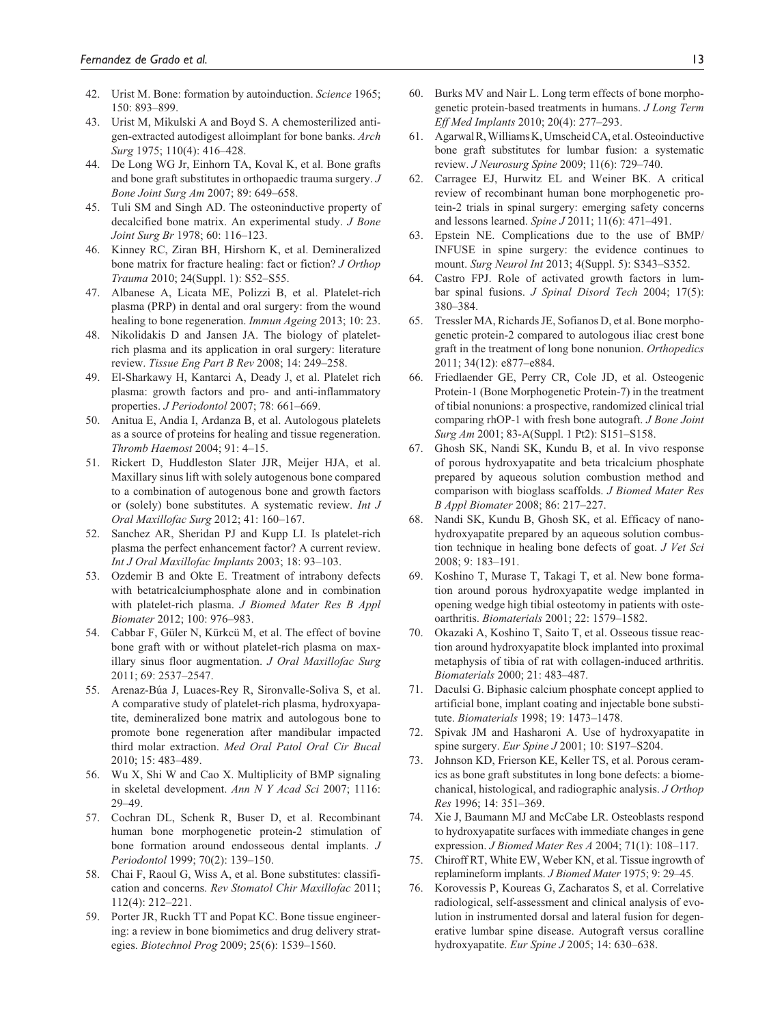- 42. Urist M. Bone: formation by autoinduction. *Science* 1965; 150: 893–899.
- 43. Urist M, Mikulski A and Boyd S. A chemosterilized antigen-extracted autodigest alloimplant for bone banks. *Arch Surg* 1975; 110(4): 416–428.
- 44. De Long WG Jr, Einhorn TA, Koval K, et al. Bone grafts and bone graft substitutes in orthopaedic trauma surgery. *J Bone Joint Surg Am* 2007; 89: 649–658.
- 45. Tuli SM and Singh AD. The osteoninductive property of decalcified bone matrix. An experimental study. *J Bone Joint Surg Br* 1978; 60: 116–123.
- 46. Kinney RC, Ziran BH, Hirshorn K, et al. Demineralized bone matrix for fracture healing: fact or fiction? *J Orthop Trauma* 2010; 24(Suppl. 1): S52–S55.
- 47. Albanese A, Licata ME, Polizzi B, et al. Platelet-rich plasma (PRP) in dental and oral surgery: from the wound healing to bone regeneration. *Immun Ageing* 2013; 10: 23.
- 48. Nikolidakis D and Jansen JA. The biology of plateletrich plasma and its application in oral surgery: literature review. *Tissue Eng Part B Rev* 2008; 14: 249–258.
- 49. El-Sharkawy H, Kantarci A, Deady J, et al. Platelet rich plasma: growth factors and pro- and anti-inflammatory properties. *J Periodontol* 2007; 78: 661–669.
- 50. Anitua E, Andia I, Ardanza B, et al. Autologous platelets as a source of proteins for healing and tissue regeneration. *Thromb Haemost* 2004; 91: 4–15.
- 51. Rickert D, Huddleston Slater JJR, Meijer HJA, et al. Maxillary sinus lift with solely autogenous bone compared to a combination of autogenous bone and growth factors or (solely) bone substitutes. A systematic review. *Int J Oral Maxillofac Surg* 2012; 41: 160–167.
- 52. Sanchez AR, Sheridan PJ and Kupp LI. Is platelet-rich plasma the perfect enhancement factor? A current review. *Int J Oral Maxillofac Implants* 2003; 18: 93–103.
- 53. Ozdemir B and Okte E. Treatment of intrabony defects with betatricalciumphosphate alone and in combination with platelet-rich plasma. *J Biomed Mater Res B Appl Biomater* 2012; 100: 976–983.
- 54. Cabbar F, Güler N, Kürkcü M, et al. The effect of bovine bone graft with or without platelet-rich plasma on maxillary sinus floor augmentation. *J Oral Maxillofac Surg* 2011; 69: 2537–2547.
- 55. Arenaz-Búa J, Luaces-Rey R, Sironvalle-Soliva S, et al. A comparative study of platelet-rich plasma, hydroxyapatite, demineralized bone matrix and autologous bone to promote bone regeneration after mandibular impacted third molar extraction. *Med Oral Patol Oral Cir Bucal* 2010; 15: 483–489.
- 56. Wu X, Shi W and Cao X. Multiplicity of BMP signaling in skeletal development. *Ann N Y Acad Sci* 2007; 1116: 29–49.
- 57. Cochran DL, Schenk R, Buser D, et al. Recombinant human bone morphogenetic protein-2 stimulation of bone formation around endosseous dental implants. *J Periodontol* 1999; 70(2): 139–150.
- 58. Chai F, Raoul G, Wiss A, et al. Bone substitutes: classification and concerns. *Rev Stomatol Chir Maxillofac* 2011; 112(4): 212–221.
- 59. Porter JR, Ruckh TT and Popat KC. Bone tissue engineering: a review in bone biomimetics and drug delivery strategies. *Biotechnol Prog* 2009; 25(6): 1539–1560.
- 60. Burks MV and Nair L. Long term effects of bone morphogenetic protein-based treatments in humans. *J Long Term Eff Med Implants* 2010; 20(4): 277–293.
- 61. Agarwal R, Williams K, Umscheid CA, et al. Osteoinductive bone graft substitutes for lumbar fusion: a systematic review. *J Neurosurg Spine* 2009; 11(6): 729–740.
- 62. Carragee EJ, Hurwitz EL and Weiner BK. A critical review of recombinant human bone morphogenetic protein-2 trials in spinal surgery: emerging safety concerns and lessons learned. *Spine J* 2011; 11(6): 471–491.
- 63. Epstein NE. Complications due to the use of BMP/ INFUSE in spine surgery: the evidence continues to mount. *Surg Neurol Int* 2013; 4(Suppl. 5): S343–S352.
- 64. Castro FPJ. Role of activated growth factors in lumbar spinal fusions. *J Spinal Disord Tech* 2004; 17(5): 380–384.
- 65. Tressler MA, Richards JE, Sofianos D, et al. Bone morphogenetic protein-2 compared to autologous iliac crest bone graft in the treatment of long bone nonunion. *Orthopedics* 2011; 34(12): e877–e884.
- 66. Friedlaender GE, Perry CR, Cole JD, et al. Osteogenic Protein-1 (Bone Morphogenetic Protein-7) in the treatment of tibial nonunions: a prospective, randomized clinical trial comparing rhOP-1 with fresh bone autograft. *J Bone Joint Surg Am* 2001; 83-A(Suppl. 1 Pt2): S151–S158.
- 67. Ghosh SK, Nandi SK, Kundu B, et al. In vivo response of porous hydroxyapatite and beta tricalcium phosphate prepared by aqueous solution combustion method and comparison with bioglass scaffolds. *J Biomed Mater Res B Appl Biomater* 2008; 86: 217–227.
- 68. Nandi SK, Kundu B, Ghosh SK, et al. Efficacy of nanohydroxyapatite prepared by an aqueous solution combustion technique in healing bone defects of goat. *J Vet Sci* 2008; 9: 183–191.
- 69. Koshino T, Murase T, Takagi T, et al. New bone formation around porous hydroxyapatite wedge implanted in opening wedge high tibial osteotomy in patients with osteoarthritis. *Biomaterials* 2001; 22: 1579–1582.
- 70. Okazaki A, Koshino T, Saito T, et al. Osseous tissue reaction around hydroxyapatite block implanted into proximal metaphysis of tibia of rat with collagen-induced arthritis. *Biomaterials* 2000; 21: 483–487.
- 71. Daculsi G. Biphasic calcium phosphate concept applied to artificial bone, implant coating and injectable bone substitute. *Biomaterials* 1998; 19: 1473–1478.
- 72. Spivak JM and Hasharoni A. Use of hydroxyapatite in spine surgery. *Eur Spine J* 2001; 10: S197–S204.
- 73. Johnson KD, Frierson KE, Keller TS, et al. Porous ceramics as bone graft substitutes in long bone defects: a biomechanical, histological, and radiographic analysis. *J Orthop Res* 1996; 14: 351–369.
- 74. Xie J, Baumann MJ and McCabe LR. Osteoblasts respond to hydroxyapatite surfaces with immediate changes in gene expression. *J Biomed Mater Res A* 2004; 71(1): 108–117.
- 75. Chiroff RT, White EW, Weber KN, et al. Tissue ingrowth of replamineform implants. *J Biomed Mater* 1975; 9: 29–45.
- 76. Korovessis P, Koureas G, Zacharatos S, et al. Correlative radiological, self-assessment and clinical analysis of evolution in instrumented dorsal and lateral fusion for degenerative lumbar spine disease. Autograft versus coralline hydroxyapatite. *Eur Spine J* 2005; 14: 630–638.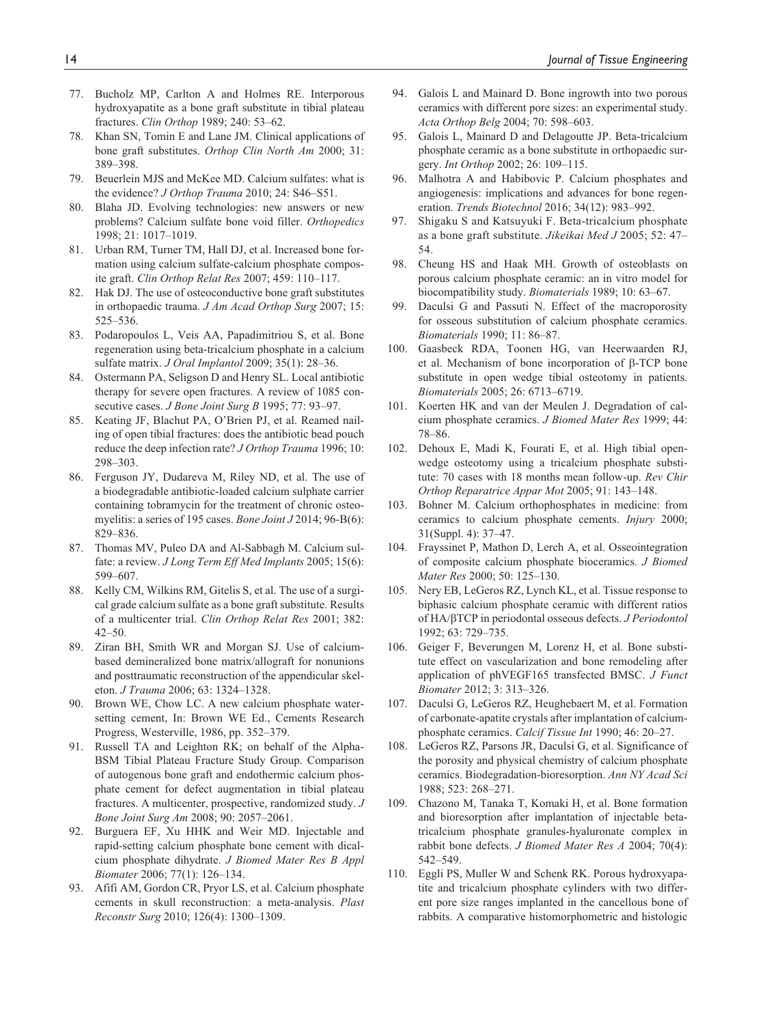- 77. Bucholz MP, Carlton A and Holmes RE. Interporous hydroxyapatite as a bone graft substitute in tibial plateau fractures. *Clin Orthop* 1989; 240: 53–62.
- 78. Khan SN, Tomin E and Lane JM. Clinical applications of bone graft substitutes. *Orthop Clin North Am* 2000; 31: 389–398.
- 79. Beuerlein MJS and McKee MD. Calcium sulfates: what is the evidence? *J Orthop Trauma* 2010; 24: S46–S51.
- 80. Blaha JD. Evolving technologies: new answers or new problems? Calcium sulfate bone void filler. *Orthopedics* 1998; 21: 1017–1019.
- 81. Urban RM, Turner TM, Hall DJ, et al. Increased bone formation using calcium sulfate-calcium phosphate composite graft. *Clin Orthop Relat Res* 2007; 459: 110–117.
- 82. Hak DJ. The use of osteoconductive bone graft substitutes in orthopaedic trauma. *J Am Acad Orthop Surg* 2007; 15: 525–536.
- 83. Podaropoulos L, Veis AA, Papadimitriou S, et al. Bone regeneration using beta-tricalcium phosphate in a calcium sulfate matrix. *J Oral Implantol* 2009; 35(1): 28–36.
- 84. Ostermann PA, Seligson D and Henry SL. Local antibiotic therapy for severe open fractures. A review of 1085 consecutive cases. *J Bone Joint Surg B* 1995; 77: 93–97.
- 85. Keating JF, Blachut PA, O'Brien PJ, et al. Reamed nailing of open tibial fractures: does the antibiotic bead pouch reduce the deep infection rate? *J Orthop Trauma* 1996; 10: 298–303.
- 86. Ferguson JY, Dudareva M, Riley ND, et al. The use of a biodegradable antibiotic-loaded calcium sulphate carrier containing tobramycin for the treatment of chronic osteomyelitis: a series of 195 cases. *Bone Joint J* 2014; 96-B(6): 829–836.
- 87. Thomas MV, Puleo DA and Al-Sabbagh M. Calcium sulfate: a review. *J Long Term Eff Med Implants* 2005; 15(6): 599–607.
- 88. Kelly CM, Wilkins RM, Gitelis S, et al. The use of a surgical grade calcium sulfate as a bone graft substitute. Results of a multicenter trial. *Clin Orthop Relat Res* 2001; 382: 42–50.
- 89. Ziran BH, Smith WR and Morgan SJ. Use of calciumbased demineralized bone matrix/allograft for nonunions and posttraumatic reconstruction of the appendicular skeleton. *J Trauma* 2006; 63: 1324–1328.
- 90. Brown WE, Chow LC. A new calcium phosphate watersetting cement, In: Brown WE Ed., Cements Research Progress, Westerville, 1986, pp. 352–379.
- 91. Russell TA and Leighton RK; on behalf of the Alpha-BSM Tibial Plateau Fracture Study Group. Comparison of autogenous bone graft and endothermic calcium phosphate cement for defect augmentation in tibial plateau fractures. A multicenter, prospective, randomized study. *J Bone Joint Surg Am* 2008; 90: 2057–2061.
- 92. Burguera EF, Xu HHK and Weir MD. Injectable and rapid-setting calcium phosphate bone cement with dicalcium phosphate dihydrate. *J Biomed Mater Res B Appl Biomater* 2006; 77(1): 126–134.
- 93. Afifi AM, Gordon CR, Pryor LS, et al. Calcium phosphate cements in skull reconstruction: a meta-analysis. *Plast Reconstr Surg* 2010; 126(4): 1300–1309.
- 94. Galois L and Mainard D. Bone ingrowth into two porous ceramics with different pore sizes: an experimental study. *Acta Orthop Belg* 2004; 70: 598–603.
- 95. Galois L, Mainard D and Delagoutte JP. Beta-tricalcium phosphate ceramic as a bone substitute in orthopaedic surgery. *Int Orthop* 2002; 26: 109–115.
- 96. Malhotra A and Habibovic P. Calcium phosphates and angiogenesis: implications and advances for bone regeneration. *Trends Biotechnol* 2016; 34(12): 983–992.
- 97. Shigaku S and Katsuyuki F. Beta-tricalcium phosphate as a bone graft substitute. *Jikeikai Med J* 2005; 52: 47– 54.
- 98. Cheung HS and Haak MH. Growth of osteoblasts on porous calcium phosphate ceramic: an in vitro model for biocompatibility study. *Biomaterials* 1989; 10: 63–67.
- Daculsi G and Passuti N. Effect of the macroporosity for osseous substitution of calcium phosphate ceramics. *Biomaterials* 1990; 11: 86–87.
- 100. Gaasbeck RDA, Toonen HG, van Heerwaarden RJ, et al. Mechanism of bone incorporation of β-TCP bone substitute in open wedge tibial osteotomy in patients. *Biomaterials* 2005; 26: 6713–6719.
- 101. Koerten HK and van der Meulen J. Degradation of calcium phosphate ceramics. *J Biomed Mater Res* 1999; 44: 78–86.
- 102. Dehoux E, Madi K, Fourati E, et al. High tibial openwedge osteotomy using a tricalcium phosphate substitute: 70 cases with 18 months mean follow-up. *Rev Chir Orthop Reparatrice Appar Mot* 2005; 91: 143–148.
- 103. Bohner M. Calcium orthophosphates in medicine: from ceramics to calcium phosphate cements. *Injury* 2000; 31(Suppl. 4): 37–47.
- 104. Frayssinet P, Mathon D, Lerch A, et al. Osseointegration of composite calcium phosphate bioceramics. *J Biomed Mater Res* 2000; 50: 125–130.
- 105. Nery EB, LeGeros RZ, Lynch KL, et al. Tissue response to biphasic calcium phosphate ceramic with different ratios of HA/βTCP in periodontal osseous defects. *J Periodontol* 1992; 63: 729–735.
- 106. Geiger F, Beverungen M, Lorenz H, et al. Bone substitute effect on vascularization and bone remodeling after application of phVEGF165 transfected BMSC. *J Funct Biomater* 2012; 3: 313–326.
- 107. Daculsi G, LeGeros RZ, Heughebaert M, et al. Formation of carbonate-apatite crystals after implantation of calciumphosphate ceramics. *Calcif Tissue Int* 1990; 46: 20–27.
- 108. LeGeros RZ, Parsons JR, Daculsi G, et al. Significance of the porosity and physical chemistry of calcium phosphate ceramics. Biodegradation-bioresorption. *Ann NY Acad Sci* 1988; 523: 268–271.
- 109. Chazono M, Tanaka T, Komaki H, et al. Bone formation and bioresorption after implantation of injectable betatricalcium phosphate granules-hyaluronate complex in rabbit bone defects. *J Biomed Mater Res A* 2004; 70(4): 542–549.
- 110. Eggli PS, Muller W and Schenk RK. Porous hydroxyapatite and tricalcium phosphate cylinders with two different pore size ranges implanted in the cancellous bone of rabbits. A comparative histomorphometric and histologic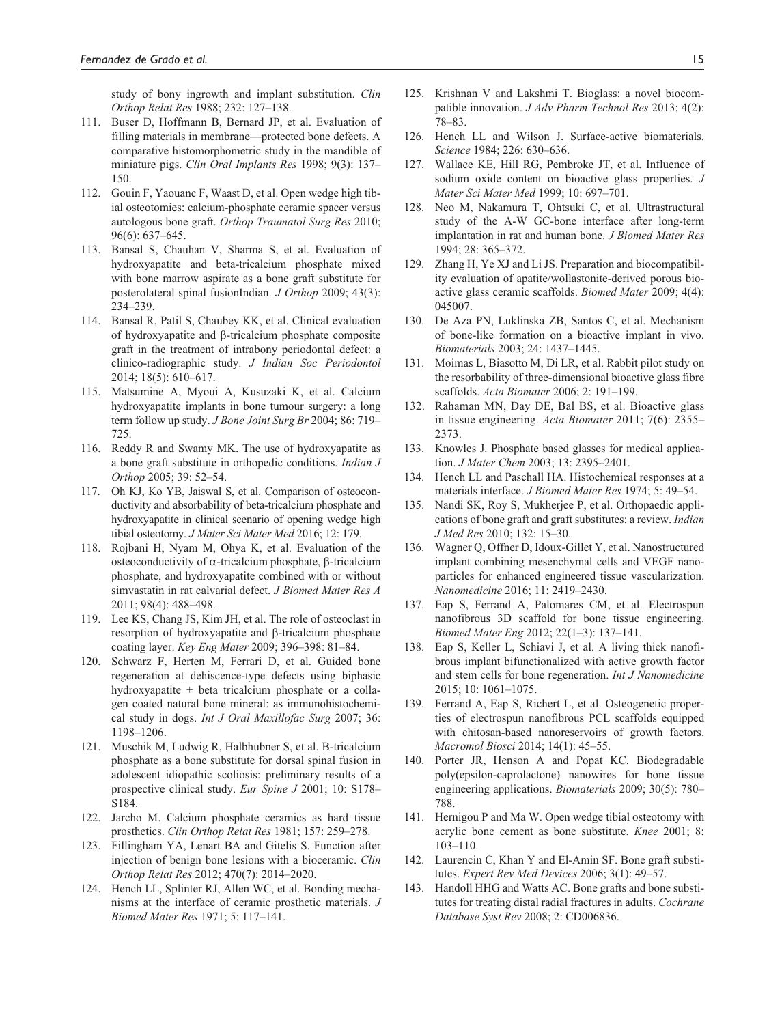study of bony ingrowth and implant substitution. *Clin Orthop Relat Res* 1988; 232: 127–138.

- 111. Buser D, Hoffmann B, Bernard JP, et al. Evaluation of filling materials in membrane—protected bone defects. A comparative histomorphometric study in the mandible of miniature pigs. *Clin Oral Implants Res* 1998; 9(3): 137– 150.
- 112. Gouin F, Yaouanc F, Waast D, et al. Open wedge high tibial osteotomies: calcium-phosphate ceramic spacer versus autologous bone graft. *Orthop Traumatol Surg Res* 2010; 96(6): 637–645.
- 113. Bansal S, Chauhan V, Sharma S, et al. Evaluation of hydroxyapatite and beta-tricalcium phosphate mixed with bone marrow aspirate as a bone graft substitute for posterolateral spinal fusionIndian. *J Orthop* 2009; 43(3): 234–239.
- 114. Bansal R, Patil S, Chaubey KK, et al. Clinical evaluation of hydroxyapatite and β-tricalcium phosphate composite graft in the treatment of intrabony periodontal defect: a clinico-radiographic study. *J Indian Soc Periodontol* 2014; 18(5): 610–617.
- 115. Matsumine A, Myoui A, Kusuzaki K, et al. Calcium hydroxyapatite implants in bone tumour surgery: a long term follow up study. *J Bone Joint Surg Br* 2004; 86: 719– 725.
- 116. Reddy R and Swamy MK. The use of hydroxyapatite as a bone graft substitute in orthopedic conditions. *Indian J Orthop* 2005; 39: 52–54.
- 117. Oh KJ, Ko YB, Jaiswal S, et al. Comparison of osteoconductivity and absorbability of beta-tricalcium phosphate and hydroxyapatite in clinical scenario of opening wedge high tibial osteotomy. *J Mater Sci Mater Med* 2016; 12: 179.
- 118. Rojbani H, Nyam M, Ohya K, et al. Evaluation of the osteoconductivity of α-tricalcium phosphate, β-tricalcium phosphate, and hydroxyapatite combined with or without simvastatin in rat calvarial defect. *J Biomed Mater Res A* 2011; 98(4): 488–498.
- 119. Lee KS, Chang JS, Kim JH, et al. The role of osteoclast in resorption of hydroxyapatite and β-tricalcium phosphate coating layer. *Key Eng Mater* 2009; 396–398: 81–84.
- 120. Schwarz F, Herten M, Ferrari D, et al. Guided bone regeneration at dehiscence-type defects using biphasic hydroxyapatite + beta tricalcium phosphate or a collagen coated natural bone mineral: as immunohistochemical study in dogs. *Int J Oral Maxillofac Surg* 2007; 36: 1198–1206.
- 121. Muschik M, Ludwig R, Halbhubner S, et al. B-tricalcium phosphate as a bone substitute for dorsal spinal fusion in adolescent idiopathic scoliosis: preliminary results of a prospective clinical study. *Eur Spine J* 2001; 10: S178– S184.
- 122. Jarcho M. Calcium phosphate ceramics as hard tissue prosthetics. *Clin Orthop Relat Res* 1981; 157: 259–278.
- 123. Fillingham YA, Lenart BA and Gitelis S. Function after injection of benign bone lesions with a bioceramic. *Clin Orthop Relat Res* 2012; 470(7): 2014–2020.
- 124. Hench LL, Splinter RJ, Allen WC, et al. Bonding mechanisms at the interface of ceramic prosthetic materials. *J Biomed Mater Res* 1971; 5: 117–141.
- 125. Krishnan V and Lakshmi T. Bioglass: a novel biocompatible innovation. *J Adv Pharm Technol Res* 2013; 4(2): 78–83.
- 126. Hench LL and Wilson J. Surface-active biomaterials. *Science* 1984; 226: 630–636.
- 127. Wallace KE, Hill RG, Pembroke JT, et al. Influence of sodium oxide content on bioactive glass properties. *J Mater Sci Mater Med* 1999; 10: 697–701.
- 128. Neo M, Nakamura T, Ohtsuki C, et al. Ultrastructural study of the A-W GC-bone interface after long-term implantation in rat and human bone. *J Biomed Mater Res* 1994; 28: 365–372.
- 129. Zhang H, Ye XJ and Li JS. Preparation and biocompatibility evaluation of apatite/wollastonite-derived porous bioactive glass ceramic scaffolds. *Biomed Mater* 2009; 4(4): 045007.
- 130. De Aza PN, Luklinska ZB, Santos C, et al. Mechanism of bone-like formation on a bioactive implant in vivo. *Biomaterials* 2003; 24: 1437–1445.
- 131. Moimas L, Biasotto M, Di LR, et al. Rabbit pilot study on the resorbability of three-dimensional bioactive glass fibre scaffolds. *Acta Biomater* 2006; 2: 191–199.
- 132. Rahaman MN, Day DE, Bal BS, et al. Bioactive glass in tissue engineering. *Acta Biomater* 2011; 7(6): 2355– 2373.
- 133. Knowles J. Phosphate based glasses for medical application. *J Mater Chem* 2003; 13: 2395–2401.
- 134. Hench LL and Paschall HA. Histochemical responses at a materials interface. *J Biomed Mater Res* 1974; 5: 49–54.
- 135. Nandi SK, Roy S, Mukherjee P, et al. Orthopaedic applications of bone graft and graft substitutes: a review. *Indian J Med Res* 2010; 132: 15–30.
- 136. Wagner Q, Offner D, Idoux-Gillet Y, et al. Nanostructured implant combining mesenchymal cells and VEGF nanoparticles for enhanced engineered tissue vascularization. *Nanomedicine* 2016; 11: 2419–2430.
- 137. Eap S, Ferrand A, Palomares CM, et al. Electrospun nanofibrous 3D scaffold for bone tissue engineering. *Biomed Mater Eng* 2012; 22(1–3): 137–141.
- 138. Eap S, Keller L, Schiavi J, et al. A living thick nanofibrous implant bifunctionalized with active growth factor and stem cells for bone regeneration. *Int J Nanomedicine* 2015; 10: 1061–1075.
- 139. Ferrand A, Eap S, Richert L, et al. Osteogenetic properties of electrospun nanofibrous PCL scaffolds equipped with chitosan-based nanoreservoirs of growth factors. *Macromol Biosci* 2014; 14(1): 45–55.
- 140. Porter JR, Henson A and Popat KC. Biodegradable poly(epsilon-caprolactone) nanowires for bone tissue engineering applications. *Biomaterials* 2009; 30(5): 780– 788.
- 141. Hernigou P and Ma W. Open wedge tibial osteotomy with acrylic bone cement as bone substitute. *Knee* 2001; 8: 103–110.
- 142. Laurencin C, Khan Y and El-Amin SF. Bone graft substitutes. *Expert Rev Med Devices* 2006; 3(1): 49–57.
- 143. Handoll HHG and Watts AC. Bone grafts and bone substitutes for treating distal radial fractures in adults. *Cochrane Database Syst Rev* 2008; 2: CD006836.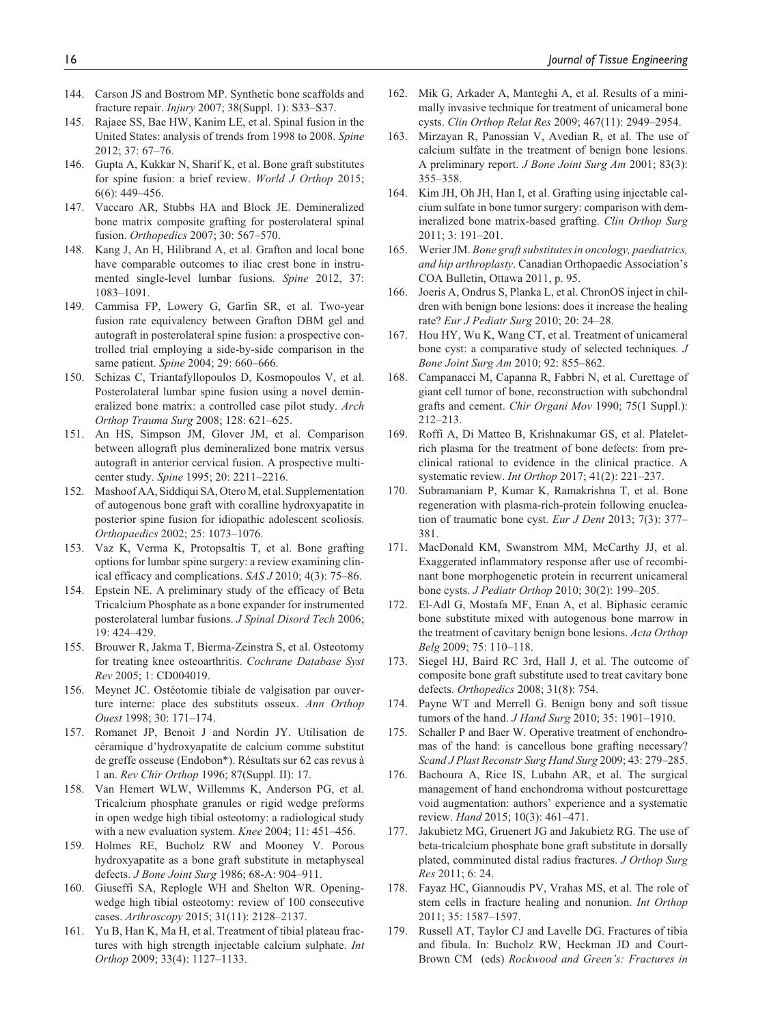- 144. Carson JS and Bostrom MP. Synthetic bone scaffolds and fracture repair. *Injury* 2007; 38(Suppl. 1): S33–S37.
- 145. Rajaee SS, Bae HW, Kanim LE, et al. Spinal fusion in the United States: analysis of trends from 1998 to 2008. *Spine* 2012; 37: 67–76.
- 146. Gupta A, Kukkar N, Sharif K, et al. Bone graft substitutes for spine fusion: a brief review. *World J Orthop* 2015; 6(6): 449–456.
- 147. Vaccaro AR, Stubbs HA and Block JE. Demineralized bone matrix composite grafting for posterolateral spinal fusion. *Orthopedics* 2007; 30: 567–570.
- 148. Kang J, An H, Hilibrand A, et al. Grafton and local bone have comparable outcomes to iliac crest bone in instrumented single-level lumbar fusions. *Spine* 2012, 37: 1083–1091.
- 149. Cammisa FP, Lowery G, Garfin SR, et al. Two-year fusion rate equivalency between Grafton DBM gel and autograft in posterolateral spine fusion: a prospective controlled trial employing a side-by-side comparison in the same patient. *Spine* 2004; 29: 660–666.
- 150. Schizas C, Triantafyllopoulos D, Kosmopoulos V, et al. Posterolateral lumbar spine fusion using a novel demineralized bone matrix: a controlled case pilot study. *Arch Orthop Trauma Surg* 2008; 128: 621–625.
- 151. An HS, Simpson JM, Glover JM, et al. Comparison between allograft plus demineralized bone matrix versus autograft in anterior cervical fusion. A prospective multicenter study. *Spine* 1995; 20: 2211–2216.
- 152. Mashoof AA, Siddiqui SA, Otero M, et al. Supplementation of autogenous bone graft with coralline hydroxyapatite in posterior spine fusion for idiopathic adolescent scoliosis. *Orthopaedics* 2002; 25: 1073–1076.
- 153. Vaz K, Verma K, Protopsaltis T, et al. Bone grafting options for lumbar spine surgery: a review examining clinical efficacy and complications. *SAS J* 2010; 4(3): 75–86.
- 154. Epstein NE. A preliminary study of the efficacy of Beta Tricalcium Phosphate as a bone expander for instrumented posterolateral lumbar fusions. *J Spinal Disord Tech* 2006; 19: 424–429.
- 155. Brouwer R, Jakma T, Bierma-Zeinstra S, et al. Osteotomy for treating knee osteoarthritis. *Cochrane Database Syst Rev* 2005; 1: CD004019.
- 156. Meynet JC. Ostéotomie tibiale de valgisation par ouverture interne: place des substituts osseux. *Ann Orthop Ouest* 1998; 30: 171–174.
- 157. Romanet JP, Benoit J and Nordin JY. Utilisation de céramique d'hydroxyapatite de calcium comme substitut de greffe osseuse (Endobon\*). Résultats sur 62 cas revus à 1 an. *Rev Chir Orthop* 1996; 87(Suppl. II): 17.
- 158. Van Hemert WLW, Willemms K, Anderson PG, et al. Tricalcium phosphate granules or rigid wedge preforms in open wedge high tibial osteotomy: a radiological study with a new evaluation system. *Knee* 2004; 11: 451–456.
- 159. Holmes RE, Bucholz RW and Mooney V. Porous hydroxyapatite as a bone graft substitute in metaphyseal defects. *J Bone Joint Surg* 1986; 68-A: 904–911.
- 160. Giuseffi SA, Replogle WH and Shelton WR. Openingwedge high tibial osteotomy: review of 100 consecutive cases. *Arthroscopy* 2015; 31(11): 2128–2137.
- 161. Yu B, Han K, Ma H, et al. Treatment of tibial plateau fractures with high strength injectable calcium sulphate. *Int Orthop* 2009; 33(4): 1127–1133.
- 162. Mik G, Arkader A, Manteghi A, et al. Results of a minimally invasive technique for treatment of unicameral bone cysts. *Clin Orthop Relat Res* 2009; 467(11): 2949–2954.
- 163. Mirzayan R, Panossian V, Avedian R, et al. The use of calcium sulfate in the treatment of benign bone lesions. A preliminary report. *J Bone Joint Surg Am* 2001; 83(3): 355–358.
- 164. Kim JH, Oh JH, Han I, et al. Grafting using injectable calcium sulfate in bone tumor surgery: comparison with demineralized bone matrix-based grafting. *Clin Orthop Surg* 2011; 3: 191–201.
- 165. Werier JM. *Bone graft substitutes in oncology, paediatrics, and hip arthroplasty*. Canadian Orthopaedic Association's COA Bulletin, Ottawa 2011, p. 95.
- 166. Joeris A, Ondrus S, Planka L, et al. ChronOS inject in children with benign bone lesions: does it increase the healing rate? *Eur J Pediatr Surg* 2010; 20: 24–28.
- 167. Hou HY, Wu K, Wang CT, et al. Treatment of unicameral bone cyst: a comparative study of selected techniques. *J Bone Joint Surg Am* 2010; 92: 855–862.
- 168. Campanacci M, Capanna R, Fabbri N, et al. Curettage of giant cell tumor of bone, reconstruction with subchondral grafts and cement. *Chir Organi Mov* 1990; 75(1 Suppl.): 212–213.
- 169. Roffi A, Di Matteo B, Krishnakumar GS, et al. Plateletrich plasma for the treatment of bone defects: from preclinical rational to evidence in the clinical practice. A systematic review. *Int Orthop* 2017; 41(2): 221–237.
- 170. Subramaniam P, Kumar K, Ramakrishna T, et al. Bone regeneration with plasma-rich-protein following enucleation of traumatic bone cyst. *Eur J Dent* 2013; 7(3): 377– 381.
- 171. MacDonald KM, Swanstrom MM, McCarthy JJ, et al. Exaggerated inflammatory response after use of recombinant bone morphogenetic protein in recurrent unicameral bone cysts. *J Pediatr Orthop* 2010; 30(2): 199–205.
- 172. El-Adl G, Mostafa MF, Enan A, et al. Biphasic ceramic bone substitute mixed with autogenous bone marrow in the treatment of cavitary benign bone lesions. *Acta Orthop Belg* 2009; 75: 110–118.
- 173. Siegel HJ, Baird RC 3rd, Hall J, et al. The outcome of composite bone graft substitute used to treat cavitary bone defects. *Orthopedics* 2008; 31(8): 754.
- 174. Payne WT and Merrell G. Benign bony and soft tissue tumors of the hand. *J Hand Surg* 2010; 35: 1901–1910.
- 175. Schaller P and Baer W. Operative treatment of enchondromas of the hand: is cancellous bone grafting necessary? *Scand J Plast Reconstr Surg Hand Surg* 2009; 43: 279–285.
- 176. Bachoura A, Rice IS, Lubahn AR, et al. The surgical management of hand enchondroma without postcurettage void augmentation: authors' experience and a systematic review. *Hand* 2015; 10(3): 461–471.
- 177. Jakubietz MG, Gruenert JG and Jakubietz RG. The use of beta-tricalcium phosphate bone graft substitute in dorsally plated, comminuted distal radius fractures. *J Orthop Surg Res* 2011; 6: 24.
- 178. Fayaz HC, Giannoudis PV, Vrahas MS, et al. The role of stem cells in fracture healing and nonunion. *Int Orthop* 2011; 35: 1587–1597.
- 179. Russell AT, Taylor CJ and Lavelle DG. Fractures of tibia and fibula. In: Bucholz RW, Heckman JD and Court-Brown CM (eds) *Rockwood and Green's: Fractures in*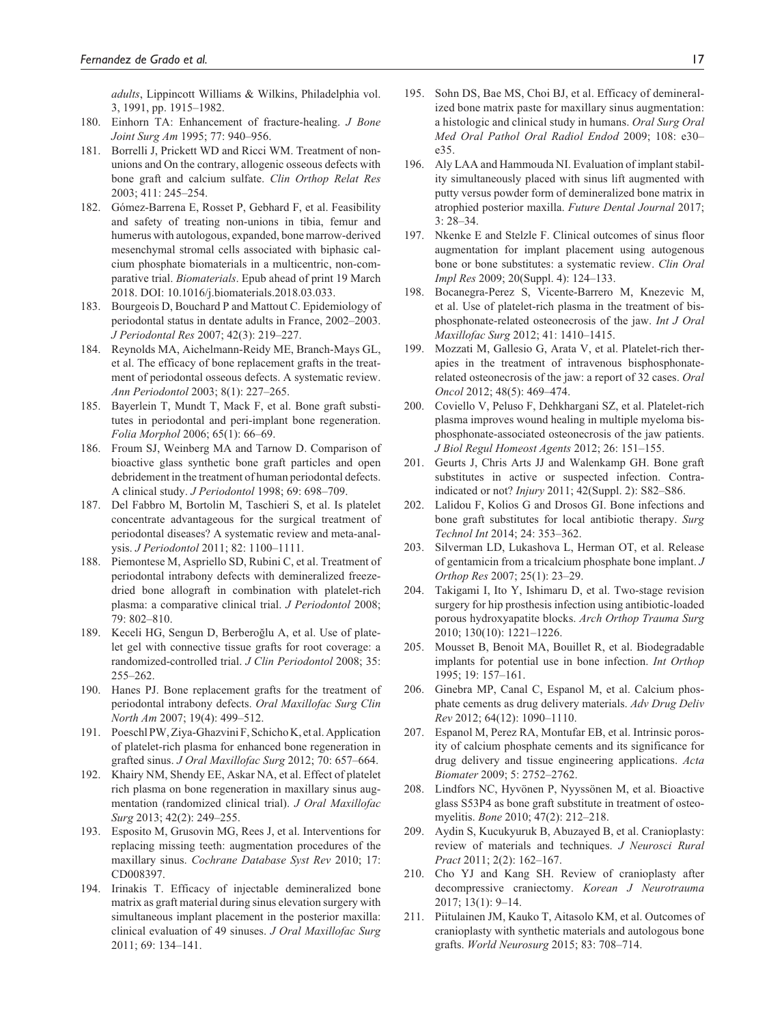*adults*, Lippincott Williams & Wilkins, Philadelphia vol. 3, 1991, pp. 1915–1982.

- 180. Einhorn TA: Enhancement of fracture-healing. *J Bone Joint Surg Am* 1995; 77: 940–956.
- 181. Borrelli J, Prickett WD and Ricci WM. Treatment of nonunions and On the contrary, allogenic osseous defects with bone graft and calcium sulfate. *Clin Orthop Relat Res* 2003; 411: 245–254.
- 182. Gómez-Barrena E, Rosset P, Gebhard F, et al. Feasibility and safety of treating non-unions in tibia, femur and humerus with autologous, expanded, bone marrow-derived mesenchymal stromal cells associated with biphasic calcium phosphate biomaterials in a multicentric, non-comparative trial. *Biomaterials*. Epub ahead of print 19 March 2018. DOI: 10.1016/j.biomaterials.2018.03.033.
- 183. Bourgeois D, Bouchard P and Mattout C. Epidemiology of periodontal status in dentate adults in France, 2002–2003. *J Periodontal Res* 2007; 42(3): 219–227.
- 184. Reynolds MA, Aichelmann-Reidy ME, Branch-Mays GL, et al. The efficacy of bone replacement grafts in the treatment of periodontal osseous defects. A systematic review. *Ann Periodontol* 2003; 8(1): 227–265.
- 185. Bayerlein T, Mundt T, Mack F, et al. Bone graft substitutes in periodontal and peri-implant bone regeneration. *Folia Morphol* 2006; 65(1): 66–69.
- 186. Froum SJ, Weinberg MA and Tarnow D. Comparison of bioactive glass synthetic bone graft particles and open debridement in the treatment of human periodontal defects. A clinical study. *J Periodontol* 1998; 69: 698–709.
- 187. Del Fabbro M, Bortolin M, Taschieri S, et al. Is platelet concentrate advantageous for the surgical treatment of periodontal diseases? A systematic review and meta-analysis. *J Periodontol* 2011; 82: 1100–1111.
- 188. Piemontese M, Aspriello SD, Rubini C, et al. Treatment of periodontal intrabony defects with demineralized freezedried bone allograft in combination with platelet-rich plasma: a comparative clinical trial. *J Periodontol* 2008; 79: 802–810.
- 189. Keceli HG, Sengun D, Berberoğlu A, et al. Use of platelet gel with connective tissue grafts for root coverage: a randomized-controlled trial. *J Clin Periodontol* 2008; 35: 255–262.
- 190. Hanes PJ. Bone replacement grafts for the treatment of periodontal intrabony defects. *Oral Maxillofac Surg Clin North Am* 2007; 19(4): 499–512.
- 191. Poeschl PW, Ziya-Ghazvini F, Schicho K, et al. Application of platelet-rich plasma for enhanced bone regeneration in grafted sinus. *J Oral Maxillofac Surg* 2012; 70: 657–664.
- 192. Khairy NM, Shendy EE, Askar NA, et al. Effect of platelet rich plasma on bone regeneration in maxillary sinus augmentation (randomized clinical trial). *J Oral Maxillofac Surg* 2013; 42(2): 249–255.
- 193. Esposito M, Grusovin MG, Rees J, et al. Interventions for replacing missing teeth: augmentation procedures of the maxillary sinus. *Cochrane Database Syst Rev* 2010; 17: CD008397.
- 194. Irinakis T. Efficacy of injectable demineralized bone matrix as graft material during sinus elevation surgery with simultaneous implant placement in the posterior maxilla: clinical evaluation of 49 sinuses. *J Oral Maxillofac Surg* 2011; 69: 134–141.
- 195. Sohn DS, Bae MS, Choi BJ, et al. Efficacy of demineralized bone matrix paste for maxillary sinus augmentation: a histologic and clinical study in humans. *Oral Surg Oral Med Oral Pathol Oral Radiol Endod* 2009; 108: e30– e35.
- 196. Aly LAA and Hammouda NI. Evaluation of implant stability simultaneously placed with sinus lift augmented with putty versus powder form of demineralized bone matrix in atrophied posterior maxilla. *Future Dental Journal* 2017;  $3.28 - 34$
- 197. Nkenke E and Stelzle F. Clinical outcomes of sinus floor augmentation for implant placement using autogenous bone or bone substitutes: a systematic review. *Clin Oral Impl Res* 2009; 20(Suppl. 4): 124–133.
- 198. Bocanegra-Perez S, Vicente-Barrero M, Knezevic M, et al. Use of platelet-rich plasma in the treatment of bisphosphonate-related osteonecrosis of the jaw. *Int J Oral Maxillofac Surg* 2012; 41: 1410–1415.
- 199. Mozzati M, Gallesio G, Arata V, et al. Platelet-rich therapies in the treatment of intravenous bisphosphonaterelated osteonecrosis of the jaw: a report of 32 cases. *Oral Oncol* 2012; 48(5): 469–474.
- 200. Coviello V, Peluso F, Dehkhargani SZ, et al. Platelet-rich plasma improves wound healing in multiple myeloma bisphosphonate-associated osteonecrosis of the jaw patients. *J Biol Regul Homeost Agents* 2012; 26: 151–155.
- 201. Geurts J, Chris Arts JJ and Walenkamp GH. Bone graft substitutes in active or suspected infection. Contraindicated or not? *Injury* 2011; 42(Suppl. 2): S82–S86.
- 202. Lalidou F, Kolios G and Drosos GI. Bone infections and bone graft substitutes for local antibiotic therapy. *Surg Technol Int* 2014; 24: 353–362.
- 203. Silverman LD, Lukashova L, Herman OT, et al. Release of gentamicin from a tricalcium phosphate bone implant. *J Orthop Res* 2007; 25(1): 23–29.
- 204. Takigami I, Ito Y, Ishimaru D, et al. Two-stage revision surgery for hip prosthesis infection using antibiotic-loaded porous hydroxyapatite blocks. *Arch Orthop Trauma Surg* 2010; 130(10): 1221–1226.
- 205. Mousset B, Benoit MA, Bouillet R, et al. Biodegradable implants for potential use in bone infection. *Int Orthop* 1995; 19: 157–161.
- 206. Ginebra MP, Canal C, Espanol M, et al. Calcium phosphate cements as drug delivery materials. *Adv Drug Deliv Rev* 2012; 64(12): 1090–1110.
- 207. Espanol M, Perez RA, Montufar EB, et al. Intrinsic porosity of calcium phosphate cements and its significance for drug delivery and tissue engineering applications. *Acta Biomater* 2009; 5: 2752–2762.
- 208. Lindfors NC, Hyvönen P, Nyyssönen M, et al. Bioactive glass S53P4 as bone graft substitute in treatment of osteomyelitis. *Bone* 2010; 47(2): 212–218.
- 209. Aydin S, Kucukyuruk B, Abuzayed B, et al. Cranioplasty: review of materials and techniques. *J Neurosci Rural Pract* 2011; 2(2): 162–167.
- 210. Cho YJ and Kang SH. Review of cranioplasty after decompressive craniectomy. *Korean J Neurotrauma* 2017; 13(1): 9–14.
- 211. Piitulainen JM, Kauko T, Aitasolo KM, et al. Outcomes of cranioplasty with synthetic materials and autologous bone grafts. *World Neurosurg* 2015; 83: 708–714.